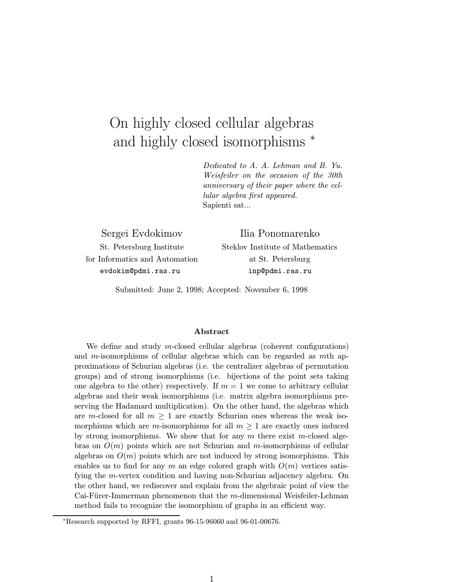# On highly closed cellular algebras and highly closed isomorphisms  $*$

Dedicated to A. A. Lehman and B. Yu. Weisfeiler on the occasion of the 30th anniversary of their paper where the cellular algebra first appeared. Sapienti sat...

Sergei Evdokimov St. Petersburg Institute for Informatics and Automation evdokim@pdmi.ras.ru

Steklov Institute of Mathematics at St. Petersburg inp@pdmi.ras.ru

Ilia Ponomarenko

Submitted: June 2, 1998; Accepted: November 6, 1998

#### Abstract

We define and study m-closed cellular algebras (coherent configurations) and m-isomorphisms of cellular algebras which can be regarded as mth approximations of Schurian algebras (i.e. the centralizer algebras of permutation groups) and of strong isomorphisms (i.e. bijections of the point sets taking one algebra to the other) respectively. If  $m = 1$  we come to arbitrary cellular algebras and their weak isomorphisms (i.e. matrix algebra isomorphisms preserving the Hadamard multiplication). On the other hand, the algebras which are m-closed for all  $m \geq 1$  are exactly Schurian ones whereas the weak isomorphisms which are m-isomorphisms for all  $m \geq 1$  are exactly ones induced by strong isomorphisms. We show that for any  $m$  there exist m-closed algebras on  $O(m)$  points which are not Schurian and m-isomorphisms of cellular algebras on  $O(m)$  points which are not induced by strong isomorphisms. This enables us to find for any m an edge colored graph with  $O(m)$  vertices satisfying the m-vertex condition and having non-Schurian adjacency algebra. On the other hand, we rediscover and explain from the algebraic point of view the Cai-Fürer-Immerman phenomenon that the  $m$ -dimensional Weisfeiler-Lehman method fails to recognize the isomorphism of graphs in an efficient way.

<sup>∗</sup>Research supported by RFFI, grants 96-15-96060 and 96-01-00676.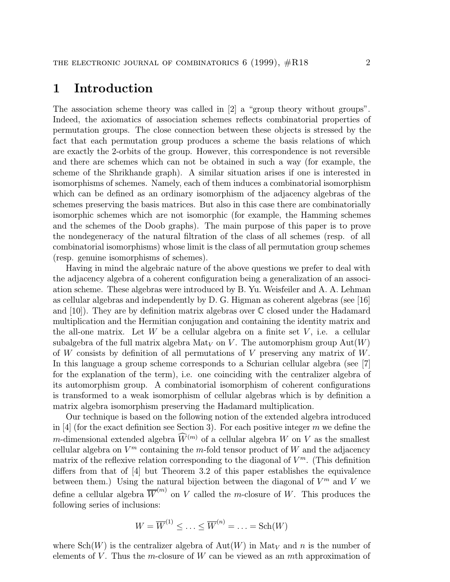### 1 Introduction

The association scheme theory was called in [2] a "group theory without groups". Indeed, the axiomatics of association schemes reflects combinatorial properties of permutation groups. The close connection between these objects is stressed by the fact that each permutation group produces a scheme the basis relations of which are exactly the 2-orbits of the group. However, this correspondence is not reversible and there are schemes which can not be obtained in such a way (for example, the scheme of the Shrikhande graph). A similar situation arises if one is interested in isomorphisms of schemes. Namely, each of them induces a combinatorial isomorphism which can be defined as an ordinary isomorphism of the adjacency algebras of the schemes preserving the basis matrices. But also in this case there are combinatorially isomorphic schemes which are not isomorphic (for example, the Hamming schemes and the schemes of the Doob graphs). The main purpose of this paper is to prove the nondegeneracy of the natural filtration of the class of all schemes (resp. of all combinatorial isomorphisms) whose limit is the class of all permutation group schemes (resp. genuine isomorphisms of schemes).

Having in mind the algebraic nature of the above questions we prefer to deal with the adjacency algebra of a coherent configuration being a generalization of an association scheme. These algebras were introduced by B. Yu. Weisfeiler and A. A. Lehman as cellular algebras and independently by  $D$ . G. Higman as coherent algebras (see [16] and  $[10]$ . They are by definition matrix algebras over  $\mathbb C$  closed under the Hadamard multiplication and the Hermitian conjugation and containing the identity matrix and the all-one matrix. Let  $W$  be a cellular algebra on a finite set  $V$ , i.e. a cellular subalgebra of the full matrix algebra  $\text{Mat}_V$  on V. The automorphism group  $\text{Aut}(W)$ of W consists by definition of all permutations of V preserving any matrix of  $W$ . In this language a group scheme corresponds to a Schurian cellular algebra (see [7] for the explanation of the term), i.e. one coinciding with the centralizer algebra of its automorphism group. A combinatorial isomorphism of coherent configurations is transformed to a weak isomorphism of cellular algebras which is by definition a matrix algebra isomorphism preserving the Hadamard multiplication.

Our technique is based on the following notion of the extended algebra introduced in [4] (for the exact definition see Section 3). For each positive integer m we define the m-dimensional extended algebra  $\widetilde{W}^{(m)}$  of a cellular algebra W on V as the smallest cellular algebra on  $V^m$  containing the m-fold tensor product of W and the adjacency matrix of the reflexive relation corresponding to the diagonal of  $V^m$ . (This definition differs from that of [4] but Theorem 3.2 of this paper establishes the equivalence between them.) Using the natural bijection between the diagonal of  $V^m$  and V we define a cellular algebra  $\overline{W}^{(m)}$  on V called the m-closure of W. This produces the following series of inclusions:

$$
W = \overline{W}^{(1)} \leq \ldots \leq \overline{W}^{(n)} = \ldots = \text{Sch}(W)
$$

where  $Sch(W)$  is the centralizer algebra of  $Aut(W)$  in  $Mat_V$  and n is the number of elements of V. Thus the m-closure of W can be viewed as an mth approximation of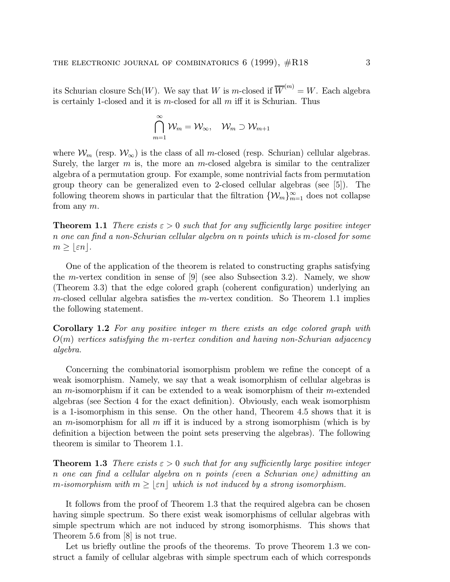its Schurian closure  $\text{Sch}(W)$ . We say that W is m-closed if  $\overline{W}^{(m)} = W$ . Each algebra is certainly 1-closed and it is  $m$ -closed for all  $m$  iff it is Schurian. Thus

$$
\bigcap_{m=1}^\infty \mathcal{W}_m = \mathcal{W}_\infty, \quad \mathcal{W}_m \supset \mathcal{W}_{m+1}
$$

where  $\mathcal{W}_m$  (resp.  $\mathcal{W}_{\infty}$ ) is the class of all m-closed (resp. Schurian) cellular algebras. Surely, the larger  $m$  is, the more an m-closed algebra is similar to the centralizer algebra of a permutation group. For example, some nontrivial facts from permutation group theory can be generalized even to 2-closed cellular algebras (see [5]). The following theorem shows in particular that the filtration  $\{\mathcal{W}_m\}_{m=1}^{\infty}$  does not collapse from any m.

**Theorem 1.1** There exists  $\varepsilon > 0$  such that for any sufficiently large positive integer n one can find a non-Schurian cellular algebra on n points which is m-closed for some  $m \geq |\varepsilon n|.$ 

One of the application of the theorem is related to constructing graphs satisfying the m-vertex condition in sense of  $[9]$  (see also Subsection 3.2). Namely, we show (Theorem 3.3) that the edge colored graph (coherent configuration) underlying an m-closed cellular algebra satisfies the m-vertex condition. So Theorem 1.1 implies the following statement.

Corollary 1.2 For any positive integer m there exists an edge colored graph with  $O(m)$  vertices satisfying the m-vertex condition and having non-Schurian adjacency algebra.

Concerning the combinatorial isomorphism problem we refine the concept of a weak isomorphism. Namely, we say that a weak isomorphism of cellular algebras is an  $m$ -isomorphism if it can be extended to a weak isomorphism of their  $m$ -extended algebras (see Section 4 for the exact definition). Obviously, each weak isomorphism is a 1-isomorphism in this sense. On the other hand, Theorem 4.5 shows that it is an m-isomorphism for all m iff it is induced by a strong isomorphism (which is by definition a bijection between the point sets preserving the algebras). The following theorem is similar to Theorem 1.1.

**Theorem 1.3** There exists  $\varepsilon > 0$  such that for any sufficiently large positive integer n one can find a cellular algebra on n points (even a Schurian one) admitting an m-isomorphism with  $m \geq |\varepsilon n|$  which is not induced by a strong isomorphism.

It follows from the proof of Theorem 1.3 that the required algebra can be chosen having simple spectrum. So there exist weak isomorphisms of cellular algebras with simple spectrum which are not induced by strong isomorphisms. This shows that Theorem 5.6 from [8] is not true.

Let us briefly outline the proofs of the theorems. To prove Theorem 1.3 we construct a family of cellular algebras with simple spectrum each of which corresponds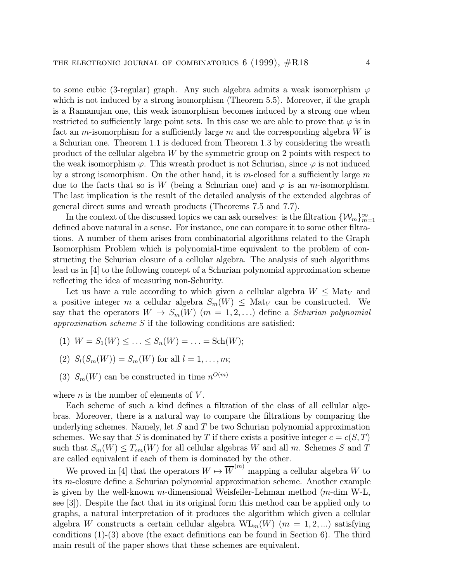to some cubic (3-regular) graph. Any such algebra admits a weak isomorphism  $\varphi$ which is not induced by a strong isomorphism (Theorem 5.5). Moreover, if the graph is a Ramanujan one, this weak isomorphism becomes induced by a strong one when restricted to sufficiently large point sets. In this case we are able to prove that  $\varphi$  is in fact an m-isomorphism for a sufficiently large m and the corresponding algebra  $W$  is a Schurian one. Theorem 1.1 is deduced from Theorem 1.3 by considering the wreath product of the cellular algebra W by the symmetric group on 2 points with respect to the weak isomorphism  $\varphi$ . This wreath product is not Schurian, since  $\varphi$  is not induced by a strong isomorphism. On the other hand, it is m-closed for a sufficiently large  $m$ due to the facts that so is W (being a Schurian one) and  $\varphi$  is an m-isomorphism. The last implication is the result of the detailed analysis of the extended algebras of general direct sums and wreath products (Theorems 7.5 and 7.7).

In the context of the discussed topics we can ask ourselves: is the filtration  $\{\mathcal{W}_m\}_{m=1}^{\infty}$ defined above natural in a sense. For instance, one can compare it to some other filtrations. A number of them arises from combinatorial algorithms related to the Graph Isomorphism Problem which is polynomial-time equivalent to the problem of constructing the Schurian closure of a cellular algebra. The analysis of such algorithms lead us in [4] to the following concept of a Schurian polynomial approximation scheme reflecting the idea of measuring non-Schurity.

Let us have a rule according to which given a cellular algebra  $W \leq \text{Mat}_V$  and a positive integer m a cellular algebra  $S_m(W) \leq \text{Mat}_V$  can be constructed. We say that the operators  $W \mapsto S_m(W)$   $(m = 1, 2,...)$  define a Schurian polynomial approximation scheme S if the following conditions are satisfied:

- (1)  $W = S_1(W) \le \ldots \le S_n(W) = \ldots = \text{Sch}(W);$
- (2)  $S_l(S_m(W)) = S_m(W)$  for all  $l = 1, ..., m;$
- (3)  $S_m(W)$  can be constructed in time  $n^{O(m)}$

where  $n$  is the number of elements of  $V$ .

Each scheme of such a kind defines a filtration of the class of all cellular algebras. Moreover, there is a natural way to compare the filtrations by comparing the underlying schemes. Namely, let  $S$  and  $T$  be two Schurian polynomial approximation schemes. We say that S is dominated by T if there exists a positive integer  $c = c(S, T)$ such that  $S_m(W) \leq T_{cm}(W)$  for all cellular algebras W and all m. Schemes S and T are called equivalent if each of them is dominated by the other.

We proved in [4] that the operators  $W \mapsto \overline{W}^{(m)}$  mapping a cellular algebra W to its m-closure define a Schurian polynomial approximation scheme. Another example is given by the well-known m-dimensional Weisfeiler-Lehman method (m-dim W-L, see [3]). Despite the fact that in its original form this method can be applied only to graphs, a natural interpretation of it produces the algorithm which given a cellular algebra W constructs a certain cellular algebra  $\text{WL}_m(W)$  ( $m = 1, 2, ...$ ) satisfying conditions (1)-(3) above (the exact definitions can be found in Section 6). The third main result of the paper shows that these schemes are equivalent.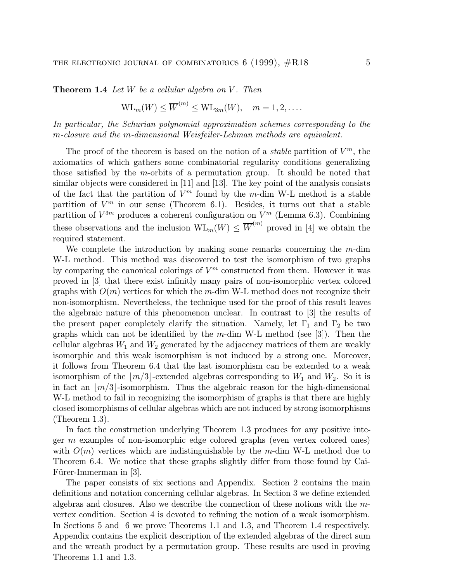**Theorem 1.4** Let  $W$  be a cellular algebra on  $V$ . Then

$$
WL_m(W) \leq \overline{W}^{(m)} \leq WL_{3m}(W), \quad m = 1, 2, \dots
$$

In particular, the Schurian polynomial approximation schemes corresponding to the m-closure and the m-dimensional Weisfeiler-Lehman methods are equivalent.

The proof of the theorem is based on the notion of a *stable* partition of  $V^m$ , the axiomatics of which gathers some combinatorial regularity conditions generalizing those satisfied by the m-orbits of a permutation group. It should be noted that similar objects were considered in [11] and [13]. The key point of the analysis consists of the fact that the partition of  $V^m$  found by the m-dim W-L method is a stable partition of  $V^m$  in our sense (Theorem 6.1). Besides, it turns out that a stable partition of  $V^{3m}$  produces a coherent configuration on  $V^m$  (Lemma 6.3). Combining these observations and the inclusion  $\text{WL}_m(W) \leq \overline{W}^{(m)}$  proved in [4] we obtain the required statement.

We complete the introduction by making some remarks concerning the m-dim W-L method. This method was discovered to test the isomorphism of two graphs by comparing the canonical colorings of  $V^m$  constructed from them. However it was proved in [3] that there exist infinitly many pairs of non-isomorphic vertex colored graphs with  $O(m)$  vertices for which the m-dim W-L method does not recognize their non-isomorphism. Nevertheless, the technique used for the proof of this result leaves the algebraic nature of this phenomenon unclear. In contrast to [3] the results of the present paper completely clarify the situation. Namely, let  $\Gamma_1$  and  $\Gamma_2$  be two graphs which can not be identified by the  $m$ -dim W-L method (see [3]). Then the cellular algebras  $W_1$  and  $W_2$  generated by the adjacency matrices of them are weakly isomorphic and this weak isomorphism is not induced by a strong one. Moreover, it follows from Theorem 6.4 that the last isomorphism can be extended to a weak isomorphism of the  $\lfloor m/3 \rfloor$ -extended algebras corresponding to  $W_1$  and  $W_2$ . So it is in fact an  $\lfloor m/3 \rfloor$ -isomorphism. Thus the algebraic reason for the high-dimensional W-L method to fail in recognizing the isomorphism of graphs is that there are highly closed isomorphisms of cellular algebras which are not induced by strong isomorphisms (Theorem 1.3).

In fact the construction underlying Theorem 1.3 produces for any positive integer m examples of non-isomorphic edge colored graphs (even vertex colored ones) with  $O(m)$  vertices which are indistinguishable by the m-dim W-L method due to Theorem 6.4. We notice that these graphs slightly differ from those found by Cai-Fürer-Immerman in [3].

The paper consists of six sections and Appendix. Section 2 contains the main definitions and notation concerning cellular algebras. In Section 3 we define extended algebras and closures. Also we describe the connection of these notions with the mvertex condition. Section 4 is devoted to refining the notion of a weak isomorphism. In Sections 5 and 6 we prove Theorems 1.1 and 1.3, and Theorem 1.4 respectively. Appendix contains the explicit description of the extended algebras of the direct sum and the wreath product by a permutation group. These results are used in proving Theorems 1.1 and 1.3.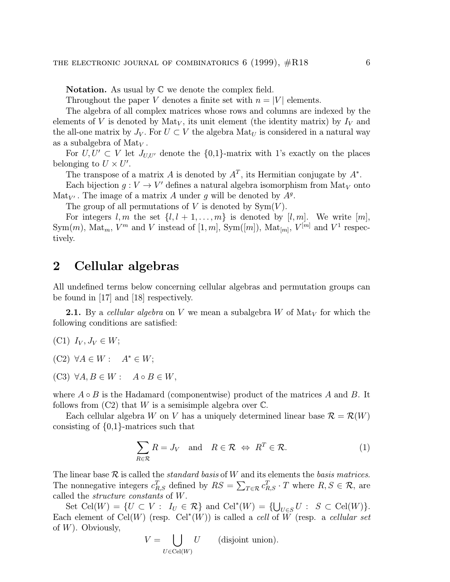**Notation.** As usual by  $\mathbb C$  we denote the complex field.

Throughout the paper V denotes a finite set with  $n = |V|$  elements.

The algebra of all complex matrices whose rows and columns are indexed by the elements of V is denoted by  $\text{Mat}_V$ , its unit element (the identity matrix) by  $I_V$  and the all-one matrix by  $J_V$ . For  $U \subset V$  the algebra  $\text{Mat}_U$  is considered in a natural way as a subalgebra of  ${\rm Mat}_V$ .

For  $U, U' \subset V$  let  $J_{U,U'}$  denote the  $\{0,1\}$ -matrix with 1's exactly on the places belonging to  $U \times U'$ .

The transpose of a matrix A is denoted by  $A<sup>T</sup>$ , its Hermitian conjugate by  $A^*$ .

Each bijection  $g: V \to V'$  defines a natural algebra isomorphism from Mat<sub>V</sub> onto Mat<sub>V'</sub>. The image of a matrix A under q will be denoted by  $A<sup>g</sup>$ .

The group of all permutations of V is denoted by  $\text{Sym}(V)$ .

For integers  $l, m$  the set  $\{l, l + 1, \ldots, m\}$  is denoted by  $[l, m]$ . We write  $[m]$ , Sym $(m)$ , Mat<sub>m</sub>,  $V^m$  and V instead of  $[1, m]$ , Sym $([m])$ , Mat<sub>[m]</sub>,  $V^{[m]}$  and  $V^1$  respectively.

#### 2 Cellular algebras

All undefined terms below concerning cellular algebras and permutation groups can be found in [17] and [18] respectively.

**2.1.** By a cellular algebra on V we mean a subalgebra W of Mat<sub>V</sub> for which the following conditions are satisfied:

- (C1)  $I_V, J_V \in W;$
- (C2)  $\forall A \in W : A^* \in W;$
- $(C3) \ \forall A, B \in W: A \circ B \in W,$

where  $A \circ B$  is the Hadamard (componentwise) product of the matrices A and B. It follows from  $(C2)$  that W is a semisimple algebra over  $\mathbb{C}$ .

Each cellular algebra W on V has a uniquely determined linear base  $\mathcal{R} = \mathcal{R}(W)$ consisting of {0,1}-matrices such that

$$
\sum_{R \in \mathcal{R}} R = J_V \quad \text{and} \quad R \in \mathcal{R} \iff R^T \in \mathcal{R}.
$$
 (1)

The linear base  $\mathcal R$  is called the *standard basis* of W and its elements the *basis matrices*. The nonnegative integers  $c_{R,S}^T$  defined by  $RS = \sum_{T \in \mathcal{R}} c_{R,S}^T \cdot T$  where  $R, S \in \mathcal{R}$ , are called the structure constants of W.

Set Cel(W) =  $\{U \subset V : I_U \in \mathcal{R}\}\$ and Cel<sup>\*</sup>(W) =  $\{\bigcup_{U \in S} U : S \subset \text{Cell}(W)\}.$ Each element of Cel $(W)$  (resp. Cel<sup>\*</sup> $(W)$ ) is called a *cell* of  $\widetilde{W}$  (resp. a *cellular set* of  $W$ ). Obviously,

$$
V = \bigcup_{U \in \text{Cell}(W)} U \qquad \text{(disjoint union)}.
$$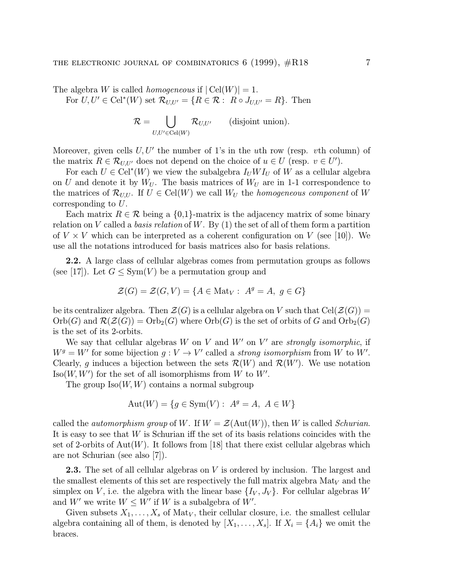The algebra W is called *homogeneous* if  $|\text{CeI}(W)| = 1$ . For  $U, U' \in \text{Cell}^*(W)$  set  $\mathcal{R}_{U, U'} = \{R \in \mathcal{R} : R \circ J_{U, U'} = R\}$ . Then

$$
\mathcal{R} = \bigcup_{U,U' \in \text{Cell}(W)} \mathcal{R}_{U,U'} \qquad \text{(disjoint union)}.
$$

Moreover, given cells  $U, U'$  the number of 1's in the uth row (resp. vth column) of the matrix  $R \in \mathcal{R}_{U,U'}$  does not depend on the choice of  $u \in U$  (resp.  $v \in U'$ ).

For each  $U \in \text{Cell}^*(W)$  we view the subalgebra  $I_U W I_U$  of W as a cellular algebra on U and denote it by  $W_U$ . The basis matrices of  $W_U$  are in 1-1 correspondence to the matrices of  $\mathcal{R}_{U,U}$ . If  $U \in \text{Cell}(W)$  we call  $W_U$  the homogeneous component of W corresponding to U.

Each matrix  $R \in \mathcal{R}$  being a  $\{0,1\}$ -matrix is the adjacency matrix of some binary relation on V called a *basis relation* of W. By  $(1)$  the set of all of them form a partition of  $V \times V$  which can be interpreted as a coherent configuration on V (see [10]). We use all the notations introduced for basis matrices also for basis relations.

2.2. A large class of cellular algebras comes from permutation groups as follows (see [17]). Let  $G \le Sym(V)$  be a permutation group and

$$
\mathcal{Z}(G) = \mathcal{Z}(G, V) = \{ A \in \text{Mat}_V : A^g = A, g \in G \}
$$

be its centralizer algebra. Then  $\mathcal{Z}(G)$  is a cellular algebra on V such that  $\text{Cell}(\mathcal{Z}(G))$  =  $Orb(G)$  and  $\mathcal{R}(\mathcal{Z}(G)) = Orb_2(G)$  where  $Orb(G)$  is the set of orbits of G and  $Orb_2(G)$ is the set of its 2-orbits.

We say that cellular algebras W on V and W' on V' are strongly isomorphic, if  $W^g = W'$  for some bijection  $g: V \to V'$  called a strong isomorphism from W to W'. Clearly, g induces a bijection between the sets  $\mathcal{R}(W)$  and  $\mathcal{R}(W')$ . We use notation  $Iso(W, W')$  for the set of all isomorphisms from W to W'.

The group  $Iso(W, W)$  contains a normal subgroup

$$
Aut(W) = \{ g \in Sym(V) : A^g = A, A \in W \}
$$

called the *automorphism group* of W. If  $W = \mathcal{Z}(\text{Aut}(W))$ , then W is called *Schurian*. It is easy to see that W is Schurian iff the set of its basis relations coincides with the set of 2-orbits of Aut $(W)$ . It follows from [18] that there exist cellular algebras which are not Schurian (see also [7]).

**2.3.** The set of all cellular algebras on  $V$  is ordered by inclusion. The largest and the smallest elements of this set are respectively the full matrix algebra  $\text{Mat}_{V}$  and the simplex on V, i.e. the algebra with the linear base  $\{I_V, J_V\}$ . For cellular algebras W and W' we write  $W \leq W'$  if W is a subalgebra of W'.

Given subsets  $X_1, \ldots, X_s$  of Mat<sub>V</sub>, their cellular closure, i.e. the smallest cellular algebra containing all of them, is denoted by  $[X_1, \ldots, X_s]$ . If  $X_i = \{A_i\}$  we omit the braces.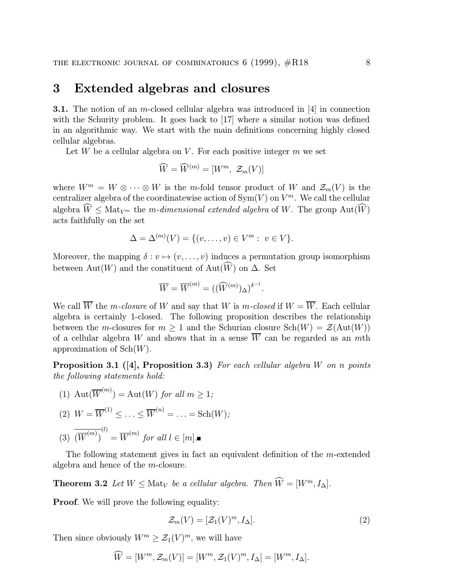#### 3 Extended algebras and closures

3.1. The notion of an m-closed cellular algebra was introduced in [4] in connection with the Schurity problem. It goes back to [17] where a similar notion was defined in an algorithmic way. We start with the main definitions concerning highly closed cellular algebras.

Let W be a cellular algebra on V. For each positive integer  $m$  we set

$$
\widehat{W} = \widehat{W}^{(m)} = [W^m, \ \mathcal{Z}_m(V)]
$$

where  $W^m = W \otimes \cdots \otimes W$  is the m-fold tensor product of W and  $\mathcal{Z}_m(V)$  is the centralizer algebra of the coordinatewise action of  $\text{Sym}(V)$  on  $V^m$ . We call the cellular algebra  $W \leq \text{Mat}_{V^m}$  the m-dimensional extended algebra of W. The group  $\text{Aut}(W)$ acts faithfully on the set

$$
\Delta = \Delta^{(m)}(V) = \{(v, \ldots, v) \in V^m : v \in V\}.
$$

Moreover, the mapping  $\delta : v \mapsto (v, \ldots, v)$  induces a permutation group isomorphism between  $\text{Aut}(W)$  and the constituent of  $\text{Aut}(W)$  on  $\Delta$ . Set

$$
\overline{W} = \overline{W}^{(m)} = ((\widehat{W}^{(m)})_{\Delta})^{\delta^{-1}}.
$$

We call  $\overline{W}$  the m-closure of W and say that W is m-closed if  $W = \overline{W}$ . Each cellular algebra is certainly 1-closed. The following proposition describes the relationship between the m-closures for  $m > 1$  and the Schurian closure  $Sch(W) = \mathcal{Z}(Aut(W))$ of a cellular algebra W and shows that in a sense  $\overline{W}$  can be regarded as an mth approximation of  $\operatorname{Sch}(W)$ .

**Proposition 3.1** ([4], Proposition 3.3) For each cellular algebra W on n points the following statements hold:

(1) 
$$
Aut(\overline{W}^{(m)}) = Aut(W) \text{ for all } m \geq 1;
$$

$$
(2) \ \ W = \overline{W}^{(1)} \leq \ldots \leq \overline{W}^{(n)} = \ldots = \mathrm{Sch}(W);
$$

$$
(3) \overline{\left(\overline{W}^{(m)}\right)}^{(l)} = \overline{W}^{(m)} \text{ for all } l \in [m]. \blacksquare
$$

The following statement gives in fact an equivalent definition of the m-extended algebra and hence of the m-closure.

**Theorem 3.2** Let  $W \leq \text{Mat}_V$  be a cellular algebra. Then  $\widehat{W} = [W^m, I_\Delta].$ 

**Proof.** We will prove the following equality:

$$
\mathcal{Z}_m(V) = [\mathcal{Z}_1(V)^m, I_\Delta].\tag{2}
$$

Then since obviously  $W^m \geq \mathcal{Z}_1(V)^m$ , we will have

$$
\widehat{W} = [W^m, \mathcal{Z}_m(V)] = [W^m, \mathcal{Z}_1(V)^m, I_\Delta] = [W^m, I_\Delta].
$$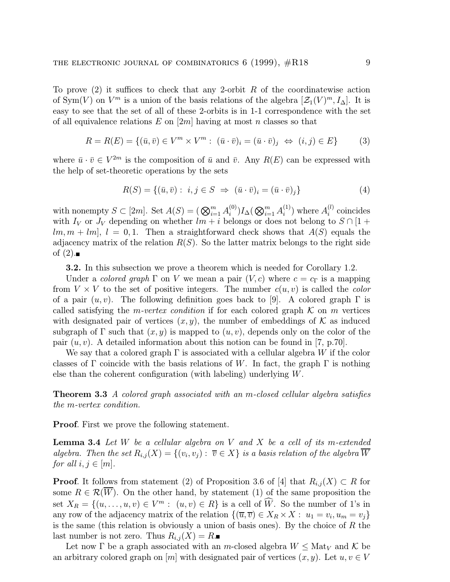To prove  $(2)$  it suffices to check that any 2-orbit R of the coordinatewise action of Sym(V) on  $V^m$  is a union of the basis relations of the algebra  $[\mathcal{Z}_1(V)^m, I_\Delta]$ . It is easy to see that the set of all of these 2-orbits is in 1-1 correspondence with the set of all equivalence relations  $E$  on  $[2m]$  having at most n classes so that

$$
R = R(E) = \{ (\bar{u}, \bar{v}) \in V^m \times V^m : (\bar{u} \cdot \bar{v})_i = (\bar{u} \cdot \bar{v})_j \iff (i, j) \in E \}
$$
(3)

where  $\bar{u} \cdot \bar{v} \in V^{2m}$  is the composition of  $\bar{u}$  and  $\bar{v}$ . Any  $R(E)$  can be expressed with the help of set-theoretic operations by the sets

$$
R(S) = \{ (\bar{u}, \bar{v}) : i, j \in S \implies (\bar{u} \cdot \bar{v})_i = (\bar{u} \cdot \bar{v})_j \}
$$
(4)

with nonempty  $S \subset [2m]$ . Set  $A(S) = (\bigotimes_{i=1}^{m} A_i^{(0)}) I_{\Delta}(\bigotimes_{i=1}^{m} A_i^{(1)})$  where  $A_i^{(l)}$  coincides with  $I_V$  or  $J_V$  depending on whether  $lm + i$  belongs or does not belong to  $S \cap [1 +$  $[m, m + lm], l = 0, 1.$  Then a straightforward check shows that  $A(S)$  equals the adjacency matrix of the relation  $R(S)$ . So the latter matrix belongs to the right side of  $(2)$ .

3.2. In this subsection we prove a theorem which is needed for Corollary 1.2.

Under a *colored graph*  $\Gamma$  on V we mean a pair  $(V, c)$  where  $c = c_{\Gamma}$  is a mapping from  $V \times V$  to the set of positive integers. The number  $c(u, v)$  is called the *color* of a pair  $(u, v)$ . The following definition goes back to [9]. A colored graph  $\Gamma$  is called satisfying the *m-vertex condition* if for each colored graph  $K$  on *m* vertices with designated pair of vertices  $(x, y)$ , the number of embeddings of K as induced subgraph of  $\Gamma$  such that  $(x, y)$  is mapped to  $(u, v)$ , depends only on the color of the pair  $(u, v)$ . A detailed information about this notion can be found in [7, p.70].

We say that a colored graph  $\Gamma$  is associated with a cellular algebra W if the color classes of  $\Gamma$  coincide with the basis relations of W. In fact, the graph  $\Gamma$  is nothing else than the coherent configuration (with labeling) underlying  $W$ .

Theorem 3.3 A colored graph associated with an m-closed cellular algebra satisfies the m-vertex condition.

Proof. First we prove the following statement.

**Lemma 3.4** Let W be a cellular algebra on V and X be a cell of its m-extended algebra. Then the set  $R_{i,j}(X) = \{(v_i, v_j) : \overline{v} \in X\}$  is a basis relation of the algebra  $\overline{W}$ for all  $i, j \in [m]$ .

**Proof.** It follows from statement (2) of Proposition 3.6 of [4] that  $R_{i,j}(X) \subset R$  for some  $R \in \mathcal{R}(\overline{W})$ . On the other hand, by statement (1) of the same proposition the set  $X_R = \{(u, \ldots, u, v) \in V^m : (u, v) \in R\}$  is a cell of W. So the number of 1's in any row of the adjacency matrix of the relation  $\{(\overline{u}, \overline{v}) \in X_R \times X : u_1 = v_i, u_m = v_j\}$ is the same (this relation is obviously a union of basis ones). By the choice of  $R$  the last number is not zero. Thus  $R_{i,j}(X) = R$ .

Let now  $\Gamma$  be a graph associated with an m-closed algebra  $W \leq \text{Mat}_V$  and  $\mathcal K$  be an arbitrary colored graph on  $[m]$  with designated pair of vertices  $(x, y)$ . Let  $u, v \in V$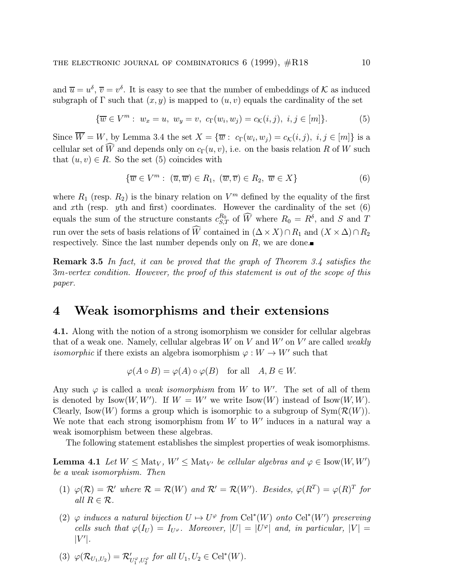and  $\overline{u} = u^{\delta}, \overline{v} = v^{\delta}$ . It is easy to see that the number of embeddings of K as induced subgraph of  $\Gamma$  such that  $(x, y)$  is mapped to  $(u, v)$  equals the cardinality of the set

$$
\{\overline{w} \in V^m: w_x = u, w_y = v, c_{\Gamma}(w_i, w_j) = c_{\mathcal{K}}(i, j), i, j \in [m]\}.
$$
 (5)

Since  $\overline{W} = W$ , by Lemma 3.4 the set  $X = {\overline{w} : c_{\Gamma}(w_i, w_j) = c_{\mathcal{K}}(i, j), i, j \in [m]}$  is a cellular set of W and depends only on  $c_{\Gamma}(u, v)$ , i.e. on the basis relation R of W such that  $(u, v) \in R$ . So the set (5) coincides with

$$
\{\overline{w} \in V^m : (\overline{u}, \overline{w}) \in R_1, (\overline{w}, \overline{v}) \in R_2, \overline{w} \in X\}
$$
(6)

where  $R_1$  (resp.  $R_2$ ) is the binary relation on  $V^m$  defined by the equality of the first and xth (resp. *yth* and first) coordinates. However the cardinality of the set  $(6)$ equals the sum of the structure constants  $c_{S,T}^{R_0}$  of  $\widehat{W}$  where  $R_0 = R^{\delta}$ , and S and T run over the sets of basis relations of W contained in  $(\Delta \times X) \cap R_1$  and  $(X \times \Delta) \cap R_2$ respectively. Since the last number depends only on  $R$ , we are done.

Remark 3.5 In fact, it can be proved that the graph of Theorem 3.4 satisfies the 3m-vertex condition. However, the proof of this statement is out of the scope of this paper.

#### 4 Weak isomorphisms and their extensions

4.1. Along with the notion of a strong isomorphism we consider for cellular algebras that of a weak one. Namely, cellular algebras  $W$  on  $V$  and  $W'$  on  $V'$  are called weakly *isomorphic* if there exists an algebra isomorphism  $\varphi : W \to W'$  such that

$$
\varphi(A \circ B) = \varphi(A) \circ \varphi(B) \quad \text{for all} \quad A, B \in W.
$$

Any such  $\varphi$  is called a *weak isomorphism* from W to W'. The set of all of them is denoted by  $\text{Isow}(W, W')$ . If  $W = W'$  we write  $\text{Isow}(W)$  instead of  $\text{Isow}(W, W)$ . Clearly, Isow $(W)$  forms a group which is isomorphic to a subgroup of  $Sym(\mathcal{R}(W))$ . We note that each strong isomorphism from  $W$  to  $W'$  induces in a natural way a weak isomorphism between these algebras.

The following statement establishes the simplest properties of weak isomorphisms.

**Lemma 4.1** Let  $W \leq \text{Mat}_V$ ,  $W' \leq \text{Mat}_{V'}$  be cellular algebras and  $\varphi \in \text{Isow}(W, W')$ be a weak isomorphism. Then

- (1)  $\varphi(\mathcal{R}) = \mathcal{R}'$  where  $\mathcal{R} = \mathcal{R}(W)$  and  $\mathcal{R}' = \mathcal{R}(W')$ . Besides,  $\varphi(R^T) = \varphi(R)^T$  for all  $R \in \mathcal{R}$ .
- (2)  $\varphi$  induces a natural bijection  $U \mapsto U^{\varphi}$  from Cel<sup>\*</sup>(W) onto Cel<sup>\*</sup>(W') preserving cells such that  $\varphi(I_U) = I_{U}$ . Moreover,  $|U| = |U^{\varphi}|$  and, in particular,  $|V| =$  $|V'|$ .
- (3)  $\varphi(\mathcal{R}_{U_1,U_2}) = \mathcal{R}'_{U_1^{\varphi},U_2^{\varphi}}$  for all  $U_1, U_2 \in \text{Cell}^*(W)$ .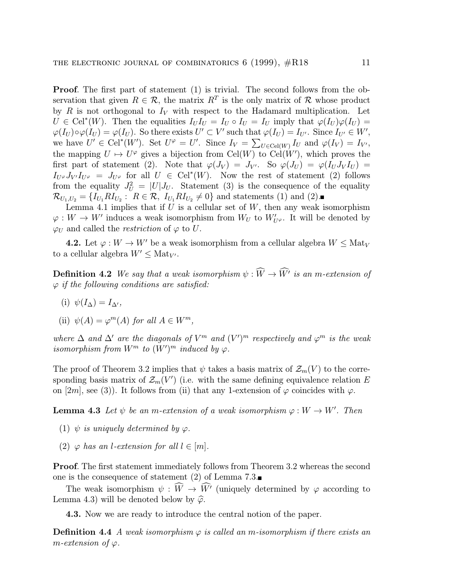Proof. The first part of statement (1) is trivial. The second follows from the observation that given  $R \in \mathcal{R}$ , the matrix  $R^T$  is the only matrix of  $\mathcal R$  whose product by R is not orthogonal to  $I_V$  with respect to the Hadamard multiplication. Let  $U \in \text{Cell}^*(W)$ . Then the equalities  $I_U I_U = I_U \circ I_U = I_U$  imply that  $\varphi(I_U)\varphi(I_U) =$  $\varphi(I_U) \circ \varphi(I_U) = \varphi(I_U)$ . So there exists  $U' \subset V'$  such that  $\varphi(I_U) = I_{U'}$ . Since  $I_{U'} \in W'$ , we have  $U' \in \text{Cell}^*(W')$ . Set  $U^{\varphi} = U'$ . Since  $I_V = \sum_{U \in \text{Cell}(W)} I_U$  and  $\varphi(I_V) = I_{V'}$ , the mapping  $U \mapsto U^{\varphi}$  gives a bijection from Cel(W) to Cel(W'), which proves the first part of statement (2). Note that  $\varphi(J_V) = J_{V'}$ . So  $\varphi(J_U) = \varphi(I_U J_V I_U) =$  $I_{U} \varphi J_{V'} I_{U} \varphi = J_{U} \varphi$  for all  $U \in \text{Cell}^*(W)$ . Now the rest of statement (2) follows from the equality  $J_U^2 = |U|J_U$ . Statement (3) is the consequence of the equality  $\mathcal{R}_{U_1,U_2} = \{I_{U_1}R I_{U_2}: R \in \mathcal{R}, I_{U_1}R I_{U_2} \neq 0\}$  and statements (1) and (2).

Lemma 4.1 implies that if  $U$  is a cellular set of  $W$ , then any weak isomorphism  $\varphi: W \to W'$  induces a weak isomorphism from  $W_U$  to  $W'_{U^{\varphi}}$ . It will be denoted by  $\varphi_U$  and called the *restriction* of  $\varphi$  to U.

**4.2.** Let  $\varphi: W \to W'$  be a weak isomorphism from a cellular algebra  $W \leq \text{Mat}_V$ to a cellular algebra  $W' \leq \text{Mat}_{V'}$ .

**Definition 4.2** We say that a weak isomorphism  $\psi : W \to W'$  is an m-extension of  $\varphi$  if the following conditions are satisfied:

(i)  $\psi(I_{\Delta})=I_{\Delta}$ ,

(ii) 
$$
\psi(A) = \varphi^m(A)
$$
 for all  $A \in W^m$ ,

where  $\Delta$  and  $\Delta'$  are the diagonals of  $V^m$  and  $(V')^m$  respectively and  $\varphi^m$  is the weak isomorphism from  $W^m$  to  $(W')^m$  induced by  $\varphi$ .

The proof of Theorem 3.2 implies that  $\psi$  takes a basis matrix of  $\mathcal{Z}_m(V)$  to the corresponding basis matrix of  $\mathcal{Z}_m(V')$  (i.e. with the same defining equivalence relation E on [2m], see (3)). It follows from (ii) that any 1-extension of  $\varphi$  coincides with  $\varphi$ .

**Lemma 4.3** Let  $\psi$  be an m-extension of a weak isomorphism  $\varphi : W \to W'$ . Then

- (1)  $\psi$  is uniquely determined by  $\varphi$ .
- (2)  $\varphi$  has an *l*-extension for all  $l \in [m]$ .

Proof. The first statement immediately follows from Theorem 3.2 whereas the second one is the consequence of statement (2) of Lemma 7.3.

The weak isomorphism  $\psi : W \to W'$  (uniquely determined by  $\varphi$  according to Lemma 4.3) will be denoted below by  $\hat{\varphi}$ .

4.3. Now we are ready to introduce the central notion of the paper.

**Definition 4.4** A weak isomorphism  $\varphi$  is called an m-isomorphism if there exists an m-extension of  $\varphi$ .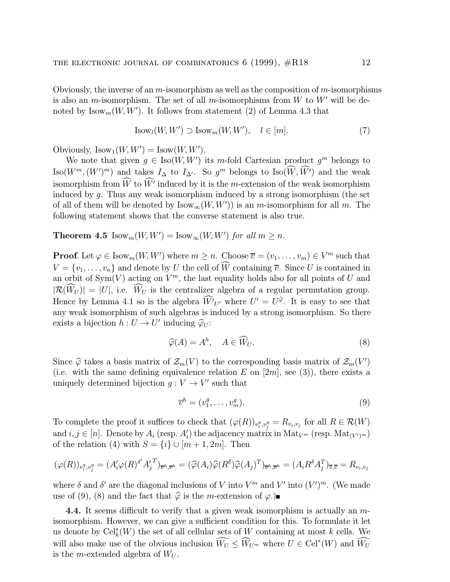Obviously, the inverse of an  $m$ -isomorphism as well as the composition of  $m$ -isomorphisms is also an *m*-isomorphism. The set of all *m*-isomorphisms from W to W' will be denoted by  $\text{Isow}_m(W, W')$ . It follows from statement (2) of Lemma 4.3 that

$$
Isowl(W, W') \supset Isowm(W, W'), \quad l \in [m].
$$
 (7)

Obviously,  $\text{Isow}_1(W, W') = \text{Isow}(W, W')$ .

We note that given  $g \in \text{Iso}(W, W')$  its m-fold Cartesian product  $g^m$  belongs to  $\text{Iso}(W^m,(W')^m)$  and takes  $I_{\Delta}$  to  $I_{\Delta'}$ . So  $g^m$  belongs to  $\text{Iso}(W,W')$  and the weak isomorphism from  $W$  to  $W'$  induced by it is the *m*-extension of the weak isomorphism induced by g. Thus any weak isomorphism induced by a strong isomorphism (the set of all of them will be denoted by  $\text{Isow}_{\infty}(W, W')$  is an m-isomorphism for all m. The following statement shows that the converse statement is also true.

**Theorem 4.5** Isow<sub>m</sub> $(W, W') =$ Isow<sub>∞</sub> $(W, W')$  for all  $m \geq n$ .

**Proof.** Let  $\varphi \in \text{Isow}_m(W, W')$  where  $m \geq n$ . Choose  $\overline{v} = (v_1, \dots, v_m) \in V^m$  such that  $V = \{v_1, \ldots, v_n\}$  and denote by U the cell of W containing  $\overline{v}$ . Since U is contained in an orbit of  $Sym(V)$  acting on  $V^m$ , the last equality holds also for all points of U and  $|\mathcal{R}(W_U)| = |U|$ , i.e.  $W_U$  is the centralizer algebra of a regular permutation group. Hence by Lemma 4.1 so is the algebra  $\hat{W'}_{U'}$  where  $U' = U^{\hat{\varphi}}$ . It is easy to see that any weak isomorphism of such algebras is induced by a strong isomorphism. So there exists a bijection  $h: U \to U'$  inducing  $\widehat{\varphi}_U$ :

$$
\widehat{\varphi}(A) = A^h, \quad A \in \widehat{W}_U. \tag{8}
$$

Since  $\hat{\varphi}$  takes a basis matrix of  $\mathcal{Z}_m(V)$  to the corresponding basis matrix of  $\mathcal{Z}_m(V')$ (i.e. with the same defining equivalence relation E on  $[2m]$ , see (3)), there exists a uniquely determined bijection  $g: V \to V'$  such that

$$
\overline{v}^h = (v_1^g, \dots, v_m^g). \tag{9}
$$

To complete the proof it suffices to check that  $(\varphi(R))_{v_i^g,v_j^g} = R_{v_i,v_j}$  for all  $R \in \mathcal{R}(W)$ and  $i, j \in [n]$ . Denote by  $A_i$  (resp.  $A'_i$ ) the adjacency matrix in  $\text{Mat}_{V^m}$  (resp.  $\text{Mat}_{(V')^m}$ ) of the relation (4) with  $S = \{i\} \cup [m+1, 2m]$ . Then

$$
(\varphi(R))_{v_i^g, v_j^g} = (A_i' \varphi(R)^{\delta'} A_j'^T)_{\overline{v}^h, \overline{v}^h} = (\widehat{\varphi}(A_i) \widehat{\varphi}(R^{\delta}) \widehat{\varphi}(A_j)^T)_{\overline{v}^h, \overline{v}^h} = (A_i R^{\delta} A_j^T)_{\overline{v}, \overline{v}} = R_{v_i, v_j}
$$

where  $\delta$  and  $\delta'$  are the diagonal inclusions of V into  $V^m$  and  $V'$  into  $(V')^m$ . (We made use of (9), (8) and the fact that  $\hat{\varphi}$  is the *m*-extension of  $\varphi$ .

**4.4.** It seems difficult to verify that a given weak isomorphism is actually an  $m$ isomorphism. However, we can give a sufficient condition for this. To formulate it let us denote by  $\text{Cei}_k^*(W)$  the set of all cellular sets of W containing at most k cells. We will also make use of the obvious inclusion  $\widehat{W}_U \leq \widehat{W}_{U^m}$  where  $U \in \text{Cell}^*(W)$  and  $\widehat{W}_U$ is the *m*-extended algebra of  $W_U$ .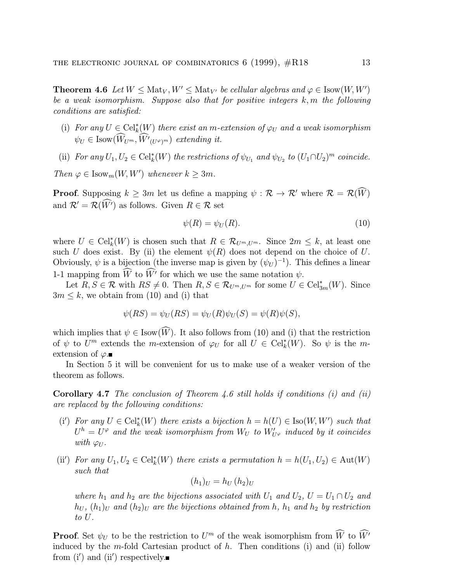**Theorem 4.6** Let  $W \leq \text{Mat}_V, W' \leq \text{Mat}_{V'}$  be cellular algebras and  $\varphi \in \text{Isow}(W, W')$ be a weak isomorphism. Suppose also that for positive integers  $k,m$  the following conditions are satisfied:

- (i) For any  $U \in \text{Cell}_{k}^{*}(W)$  there exist an m-extension of  $\varphi_{U}$  and a weak isomorphism  $\psi_U \in \text{Isow}(W_{U^m}, W'(U^{\varphi})^m)$  extending it.
- (ii) For any  $U_1, U_2 \in \text{Cell}_k^*(W)$  the restrictions of  $\psi_{U_1}$  and  $\psi_{U_2}$  to  $(U_1 \cap U_2)^m$  coincide.

Then  $\varphi \in \text{Isow}_m(W, W')$  whenever  $k \geq 3m$ .

**Proof.** Supposing  $k \geq 3m$  let us define a mapping  $\psi : \mathcal{R} \to \mathcal{R}'$  where  $\mathcal{R} = \mathcal{R}(W)$ and  $\mathcal{R}' = \mathcal{R}(\hat{W}')$  as follows. Given  $R \in \mathcal{R}$  set

$$
\psi(R) = \psi_U(R). \tag{10}
$$

where  $U \in \text{Cell}_{k}^*(W)$  is chosen such that  $R \in \mathcal{R}_{U^m, U^m}$ . Since  $2m \leq k$ , at least one such U does exist. By (ii) the element  $\psi(R)$  does not depend on the choice of U. Obviously,  $\psi$  is a bijection (the inverse map is given by  $(\psi_U)^{-1}$ ). This defines a linear 1-1 mapping from W to W' for which we use the same notation  $\psi$ .

Let  $R, S \in \mathcal{R}$  with  $RS \neq 0$ . Then  $R, S \in \mathcal{R}_{U^m, U^m}$  for some  $U \in \text{Cell}^*_{3m}(W)$ . Since  $3m \leq k$ , we obtain from (10) and (i) that

$$
\psi(RS) = \psi_U(RS) = \psi_U(R)\psi_U(S) = \psi(R)\psi(S),
$$

which implies that  $\psi \in \text{Isow}(W)$ . It also follows from (10) and (i) that the restriction of  $\psi$  to  $U^m$  extends the m-extension of  $\varphi_U$  for all  $U \in \text{Cell}_k^*(W)$ . So  $\psi$  is the mextension of  $\varphi$ .

In Section 5 it will be convenient for us to make use of a weaker version of the theorem as follows.

**Corollary 4.7** The conclusion of Theorem 4.6 still holds if conditions (i) and (ii) are replaced by the following conditions:

- (i') For any  $U \in \text{Cell}_k^*(W)$  there exists a bijection  $h = h(U) \in \text{Iso}(W, W')$  such that  $U^h=U^\varphi$  and the weak isomorphism from  $W_U$  to  $W'_{U^\varphi}$  induced by it coincides with  $\varphi_{U}$ .
- (ii') For any  $U_1, U_2 \in \text{Cell}_k^*(W)$  there exists a permutation  $h = h(U_1, U_2) \in \text{Aut}(W)$ such that

$$
(h_1)_U = h_U (h_2)_U
$$

where  $h_1$  and  $h_2$  are the bijections associated with  $U_1$  and  $U_2$ ,  $U = U_1 \cap U_2$  and  $h_U$ ,  $(h_1)_U$  and  $(h_2)_U$  are the bijections obtained from h,  $h_1$  and  $h_2$  by restriction to U.

**Proof.** Set  $\psi_U$  to be the restriction to  $U^m$  of the weak isomorphism from  $\widetilde{W}$  to  $\widetilde{W'}$ induced by the m-fold Cartesian product of  $h$ . Then conditions (i) and (ii) follow from  $(i')$  and  $(ii')$  respectively.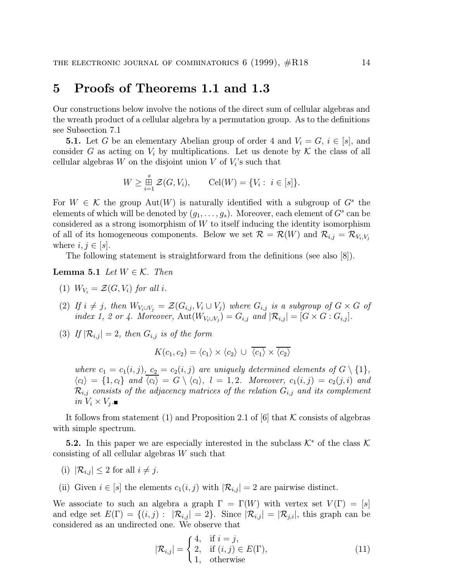#### 5 Proofs of Theorems 1.1 and 1.3

Our constructions below involve the notions of the direct sum of cellular algebras and the wreath product of a cellular algebra by a permutation group. As to the definitions see Subsection 7.1

**5.1.** Let G be an elementary Abelian group of order 4 and  $V_i = G$ ,  $i \in [s]$ , and consider G as acting on  $V_i$  by multiplications. Let us denote by K the class of all cellular algebras  $W$  on the disjoint union  $V$  of  $V_i$ 's such that

$$
W \ge \mathop{\boxplus}_{i=1}^s \mathcal{Z}(G, V_i), \qquad \text{Cell}(W) = \{V_i : i \in [s]\}.
$$

For  $W \in \mathcal{K}$  the group Aut $(W)$  is naturally identified with a subgroup of  $G<sup>s</sup>$  the elements of which will be denoted by  $(g_1, \ldots, g_s)$ . Moreover, each element of  $G^s$  can be considered as a strong isomorphism of  $W$  to itself inducing the identity isomorphism of all of its homogeneous components. Below we set  $\mathcal{R} = \mathcal{R}(W)$  and  $\mathcal{R}_{i,j} = \mathcal{R}_{V_i,V_j}$ where  $i, j \in |s|$ .

The following statement is straightforward from the definitions (see also [8]).

**Lemma 5.1** Let  $W \in \mathcal{K}$ . Then

- (1)  $W_V = \mathcal{Z}(G, V_i)$  for all i.
- (2) If  $i \neq j$ , then  $W_{V_i \cup V_j} = \mathcal{Z}(G_{i,j}, V_i \cup V_j)$  where  $G_{i,j}$  is a subgroup of  $G \times G$  of index 1, 2 or 4. Moreover,  $\text{Aut}(W_{V_i \cup V_j}) = G_{i,j}$  and  $|\mathcal{R}_{i,j}| = [G \times G : G_{i,j}].$
- (3) If  $|\mathcal{R}_{i,j}| = 2$ , then  $G_{i,j}$  is of the form

$$
K(c_1, c_2) = \langle c_1 \rangle \times \langle c_2 \rangle \cup \overline{\langle c_1 \rangle} \times \overline{\langle c_2 \rangle}
$$

where  $c_1 = c_1(i, j), c_2 = c_2(i, j)$  are uniquely determined elements of  $G \setminus \{1\}$ ,  $\langle c_l \rangle = \{1, c_l\}$  and  $\overline{\langle c_l \rangle} = G \setminus \langle c_l \rangle$ ,  $l = 1, 2$ . Moreover,  $c_1(i, j) = c_2(j, i)$  and  $\mathcal{R}_{i,j}$  consists of the adjacency matrices of the relation  $G_{i,j}$  and its complement in  $V_i \times V_j$ .

It follows from statement (1) and Proposition 2.1 of [6] that K consists of algebras with simple spectrum.

5.2. In this paper we are especially interested in the subclass  $\mathcal{K}^*$  of the class  $\mathcal{K}$ consisting of all cellular algebras W such that

- (i)  $|\mathcal{R}_{i,j}| \leq 2$  for all  $i \neq j$ .
- (ii) Given  $i \in [s]$  the elements  $c_1(i, j)$  with  $|\mathcal{R}_{i,j}| = 2$  are pairwise distinct.

We associate to such an algebra a graph  $\Gamma = \Gamma(W)$  with vertex set  $V(\Gamma) = [s]$ and edge set  $E(\Gamma) = \{(i, j): |\mathcal{R}_{i,j}| = 2\}$ . Since  $|\mathcal{R}_{i,j}| = |\mathcal{R}_{j,i}|$ , this graph can be considered as an undirected one. We observe that

$$
|\mathcal{R}_{i,j}| = \begin{cases} 4, & \text{if } i = j, \\ 2, & \text{if } (i,j) \in E(\Gamma), \\ 1, & \text{otherwise} \end{cases}
$$
 (11)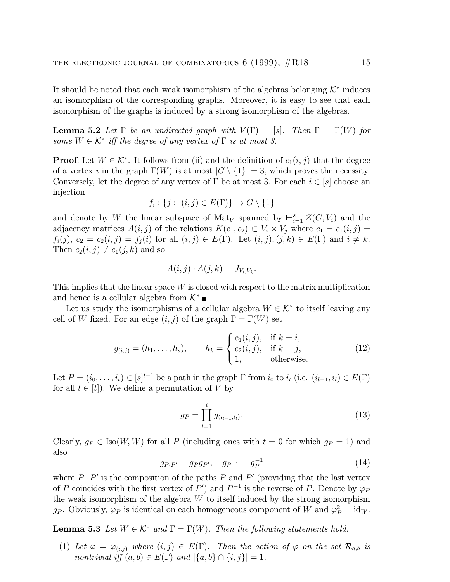It should be noted that each weak isomorphism of the algebras belonging  $\mathcal{K}^*$  induces an isomorphism of the corresponding graphs. Moreover, it is easy to see that each isomorphism of the graphs is induced by a strong isomorphism of the algebras.

**Lemma 5.2** Let  $\Gamma$  be an undirected graph with  $V(\Gamma) = |s|$ . Then  $\Gamma = \Gamma(W)$  for some  $W \in \mathcal{K}^*$  iff the degree of any vertex of  $\Gamma$  is at most 3.

**Proof.** Let  $W \in \mathcal{K}^*$ . It follows from (ii) and the definition of  $c_1(i, j)$  that the degree of a vertex i in the graph  $\Gamma(W)$  is at most  $|G \setminus \{1\}| = 3$ , which proves the necessity. Conversely, let the degree of any vertex of  $\Gamma$  be at most 3. For each  $i \in [s]$  choose an injection

$$
f_i: \{j: (i,j) \in E(\Gamma)\} \to G \setminus \{1\}
$$

and denote by W the linear subspace of  $\text{Mat}_V$  spanned by  $\bigoplus_{i=1}^s \mathcal{Z}(G, V_i)$  and the adjacency matrices  $A(i, j)$  of the relations  $K(c_1, c_2) \subset V_i \times V_j$  where  $c_1 = c_1(i, j)$  $f_i(j), c_2 = c_2(i, j) = f_j(i)$  for all  $(i, j) \in E(\Gamma)$ . Let  $(i, j), (j, k) \in E(\Gamma)$  and  $i \neq k$ . Then  $c_2(i, j) \neq c_1(j, k)$  and so

$$
A(i,j) \cdot A(j,k) = J_{V_i,V_k}.
$$

This implies that the linear space  $W$  is closed with respect to the matrix multiplication and hence is a cellular algebra from  $\mathcal{K}^*$ .

Let us study the isomorphisms of a cellular algebra  $W \in \mathcal{K}^*$  to itself leaving any cell of W fixed. For an edge  $(i, j)$  of the graph  $\Gamma = \Gamma(W)$  set

$$
g_{(i,j)} = (h_1, \dots, h_s), \qquad h_k = \begin{cases} c_1(i,j), & \text{if } k = i, \\ c_2(i,j), & \text{if } k = j, \\ 1, & \text{otherwise.} \end{cases}
$$
(12)

Let  $P = (i_0, \ldots, i_t) \in [s]^{t+1}$  be a path in the graph  $\Gamma$  from  $i_0$  to  $i_t$  (i.e.  $(i_{l-1}, i_l) \in E(\Gamma)$ for all  $l \in [t]$ . We define a permutation of V by

$$
g_P = \prod_{l=1}^t g_{(i_{l-1}, i_l)}.\tag{13}
$$

Clearly,  $g_P \in \text{Iso}(W, W)$  for all P (including ones with  $t = 0$  for which  $g_P = 1$ ) and also

$$
g_{P \cdot P'} = g_P g_{P'}, \quad g_{P^{-1}} = g_P^{-1}
$$
 (14)

where  $P \cdot P'$  is the composition of the paths P and P' (providing that the last vertex of P coincides with the first vertex of  $P'$ ) and  $P^{-1}$  is the reverse of P. Denote by  $\varphi_P$ the weak isomorphism of the algebra  $W$  to itself induced by the strong isomorphism g<sub>P</sub>. Obviously,  $\varphi_P$  is identical on each homogeneous component of W and  $\varphi_P^2 = \text{id}_W$ .

**Lemma 5.3** Let  $W \in \mathcal{K}^*$  and  $\Gamma = \Gamma(W)$ . Then the following statements hold:

(1) Let  $\varphi = \varphi_{(i,j)}$  where  $(i,j) \in E(\Gamma)$ . Then the action of  $\varphi$  on the set  $\mathcal{R}_{a,b}$  is nontrivial iff  $(a, b) \in E(\Gamma)$  and  $|\{a, b\} \cap \{i, j\}| = 1$ .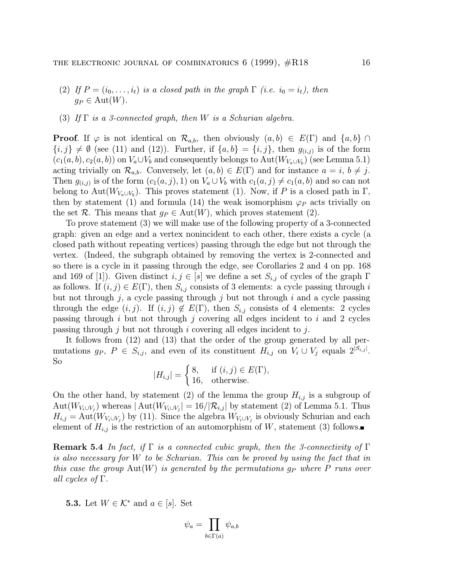- (2) If  $P = (i_0, \ldots, i_t)$  is a closed path in the graph  $\Gamma$  (i.e.  $i_0 = i_t$ ), then  $g_P \in \text{Aut}(W)$ .
- (3) If  $\Gamma$  is a 3-connected graph, then W is a Schurian algebra.

**Proof.** If  $\varphi$  is not identical on  $\mathcal{R}_{a,b}$ , then obviously  $(a, b) \in E(\Gamma)$  and  $\{a, b\} \cap$  ${i, j} \neq \emptyset$  (see (11) and (12)). Further, if  ${a, b} = {i, j}$ , then  $g_{(i,j)}$  is of the form  $(c_1(a, b), c_2(a, b))$  on  $V_a \cup V_b$  and consequently belongs to  $Aut(W_{V_a \cup V_b})$  (see Lemma 5.1) acting trivially on  $\mathcal{R}_{a,b}$ . Conversely, let  $(a, b) \in E(\Gamma)$  and for instance  $a = i, b \neq j$ . Then  $g_{(i,j)}$  is of the form  $(c_1(a, j), 1)$  on  $V_a \cup V_b$  with  $c_1(a, j) \neq c_1(a, b)$  and so can not belong to Aut( $W_{V_a \cup V_b}$ ). This proves statement (1). Now, if P is a closed path in  $\Gamma$ , then by statement (1) and formula (14) the weak isomorphism  $\varphi_P$  acts trivially on the set R. This means that  $g_P \in \text{Aut}(W)$ , which proves statement (2).

To prove statement (3) we will make use of the following property of a 3-connected graph: given an edge and a vertex nonincident to each other, there exists a cycle (a closed path without repeating vertices) passing through the edge but not through the vertex. (Indeed, the subgraph obtained by removing the vertex is 2-connected and so there is a cycle in it passing through the edge, see Corollaries 2 and 4 on pp. 168 and 169 of [1]). Given distinct  $i, j \in [s]$  we define a set  $S_{i,j}$  of cycles of the graph  $\Gamma$ as follows. If  $(i, j) \in E(\Gamma)$ , then  $S_{i,j}$  consists of 3 elements: a cycle passing through i but not through  $j$ , a cycle passing through  $j$  but not through  $i$  and a cycle passing through the edge  $(i, j)$ . If  $(i, j) \notin E(\Gamma)$ , then  $S_{i,j}$  consists of 4 elements: 2 cycles passing through  $i$  but not through  $j$  covering all edges incident to  $i$  and 2 cycles passing through j but not through i covering all edges incident to j.

It follows from (12) and (13) that the order of the group generated by all permutations  $g_P$ ,  $P \in S_{i,j}$ , and even of its constituent  $H_{i,j}$  on  $V_i \cup V_j$  equals  $2^{|S_{i,j}|}$ . So

$$
|H_{i,j}| = \begin{cases} 8, & \text{if } (i,j) \in E(\Gamma), \\ 16, & \text{otherwise.} \end{cases}
$$

On the other hand, by statement (2) of the lemma the group  $H_{i,j}$  is a subgroup of Aut $(W_{V_i \cup V_j})$  whereas  $|\text{Aut}(W_{V_i \cup V_j})| = 16/|\mathcal{R}_{i,j}|$  by statement (2) of Lemma 5.1. Thus  $H_{i,j} = \text{Aut}(W_{V_i \cup V_j})$  by (11). Since the algebra  $W_{V_i \cup V_j}$  is obviously Schurian and each element of  $H_{i,j}$  is the restriction of an automorphism of W, statement (3) follows.

**Remark 5.4** In fact, if  $\Gamma$  is a connected cubic graph, then the 3-connectivity of  $\Gamma$ is also necessary for W to be Schurian. This can be proved by using the fact that in this case the group  $Aut(W)$  is generated by the permutations  $g_P$  where P runs over all cycles of  $\Gamma$ .

**5.3.** Let  $W \in \mathcal{K}^*$  and  $a \in [s]$ . Set

$$
\psi_a=\prod_{b\in\Gamma(a)}\psi_{a,b}
$$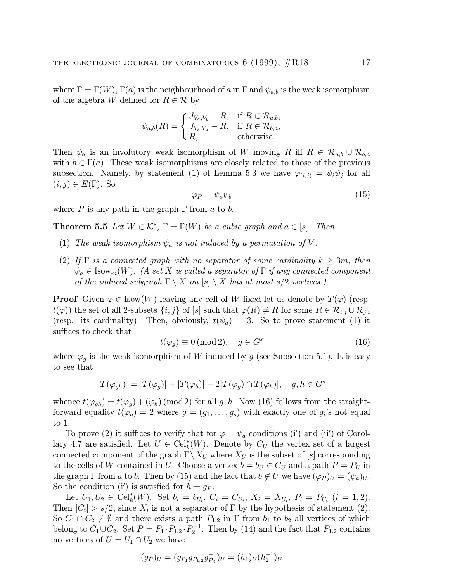where  $\Gamma = \Gamma(W)$ ,  $\Gamma(a)$  is the neighbourhood of a in  $\Gamma$  and  $\psi_{a,b}$  is the weak isomorphism of the algebra W defined for  $R \in \mathcal{R}$  by

$$
\psi_{a,b}(R) = \begin{cases} J_{V_a,V_b} - R, & \text{if } R \in \mathcal{R}_{a,b}, \\ J_{V_b,V_a} - R, & \text{if } R \in \mathcal{R}_{b,a}, \\ R, & \text{otherwise.} \end{cases}
$$

Then  $\psi_a$  is an involutory weak isomorphism of W moving R iff  $R \in \mathcal{R}_{a,b} \cup \mathcal{R}_{b,a}$ with  $b \in \Gamma(a)$ . These weak isomorphisms are closely related to those of the previous subsection. Namely, by statement (1) of Lemma 5.3 we have  $\varphi_{(i,j)} = \psi_i \psi_j$  for all  $(i, j) \in E(\Gamma)$ . So

$$
\varphi_P = \psi_a \psi_b \tag{15}
$$

where P is any path in the graph  $\Gamma$  from a to b.

**Theorem 5.5** Let  $W \in \mathcal{K}^*$ ,  $\Gamma = \Gamma(W)$  be a cubic graph and  $a \in |s|$ . Then

- (1) The weak isomorphism  $\psi_a$  is not induced by a permutation of V.
- (2) If  $\Gamma$  is a connected graph with no separator of some cardinality  $k \geq 3m$ , then  $\psi_a \in \text{Isow}_m(W)$ . (A set X is called a separator of  $\Gamma$  if any connected component of the induced subgraph  $\Gamma \setminus X$  on  $[s] \setminus X$  has at most  $s/2$  vertices.)

**Proof.** Given  $\varphi \in \text{Isow}(W)$  leaving any cell of W fixed let us denote by  $T(\varphi)$  (resp.  $t(\varphi)$  the set of all 2-subsets  $\{i, j\}$  of  $[s]$  such that  $\varphi(R) \neq R$  for some  $R \in \mathcal{R}_{i,j} \cup \mathcal{R}_{j,i}$ (resp. its cardinality). Then, obviously,  $t(\psi_a) = 3$ . So to prove statement (1) it suffices to check that

$$
t(\varphi_g) \equiv 0 \text{ (mod 2)}, \quad g \in G^s \tag{16}
$$

where  $\varphi_g$  is the weak isomorphism of W induced by g (see Subsection 5.1). It is easy to see that

$$
|T(\varphi_{gh})| = |T(\varphi_g)| + |T(\varphi_h)| - 2|T(\varphi_g) \cap T(\varphi_h)|, \quad g, h \in G^s
$$

whence  $t(\varphi_{gh}) = t(\varphi_g) + (\varphi_h) \pmod{2}$  for all g, h. Now (16) follows from the straightforward equality  $t(\varphi_g) = 2$  where  $g = (g_1, \ldots, g_s)$  with exactly one of  $g_i$ 's not equal to 1.

To prove (2) it suffices to verify that for  $\varphi = \psi_a$  conditions (i') and (ii') of Corollary 4.7 are satisfied. Let  $U \in \mathrm{Cell}_k^*(W)$ . Denote by  $C_U$  the vertex set of a largest connected component of the graph  $\Gamma \backslash X_U$  where  $X_U$  is the subset of [s] corresponding to the cells of W contained in U. Choose a vertex  $b = b_U \in C_U$  and a path  $P = P_U$  in the graph  $\Gamma$  from a to b. Then by (15) and the fact that  $b \notin U$  we have  $(\varphi_P)_U = (\psi_a)_U$ . So the condition (i') is satisfied for  $h = g_P$ .

Let  $U_1, U_2 \in \text{Cell}_k^*(W)$ . Set  $b_i = b_{U_i}, C_i = C_{U_i}, X_i = X_{U_i}, P_i = P_{U_i}$   $(i = 1, 2)$ . Then  $|C_i| > s/2$ , since  $X_i$  is not a separator of  $\Gamma$  by the hypothesis of statement (2). So  $C_1 \cap C_2 \neq \emptyset$  and there exists a path  $P_{1,2}$  in  $\Gamma$  from  $b_1$  to  $b_2$  all vertices of which belong to  $C_1 \cup C_2$ . Set  $P = P_1 \cdot P_{1,2} \cdot P_2^{-1}$ . Then by (14) and the fact that  $P_{1,2}$  contains no vertices of  $U = U_1 \cap U_2$  we have

$$
(g_P)_U = (g_{P_1}g_{P_{1,2}}g_{P_2}^{-1})_U = (h_1)_U (h_2^{-1})_U
$$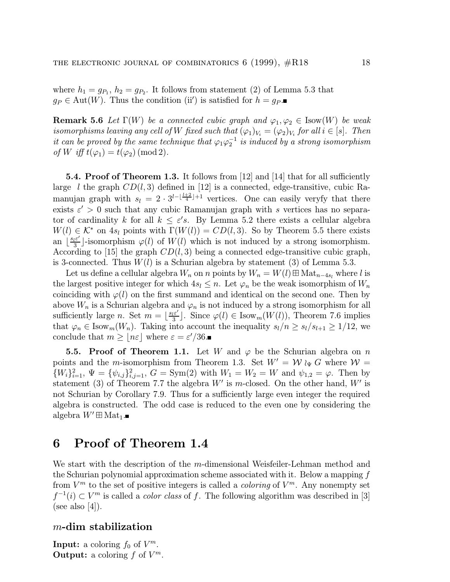where  $h_1 = g_{P_1}, h_2 = g_{P_2}$ . It follows from statement (2) of Lemma 5.3 that  $g_P \in \text{Aut}(W)$ . Thus the condition (ii') is satisfied for  $h = g_P$ .

**Remark 5.6** Let  $\Gamma(W)$  be a connected cubic graph and  $\varphi_1, \varphi_2 \in \text{Isow}(W)$  be weak isomorphisms leaving any cell of W fixed such that  $(\varphi_1)_{V_i} = (\varphi_2)_{V_i}$  for all  $i \in [s]$ . Then it can be proved by the same technique that  $\varphi_1\varphi_2^{-1}$  is induced by a strong isomorphism of W iff  $t(\varphi_1) = t(\varphi_2) \pmod{2}$ .

5.4. Proof of Theorem 1.3. It follows from [12] and [14] that for all sufficiently large l the graph  $CD(l, 3)$  defined in [12] is a connected, edge-transitive, cubic Ramanujan graph with  $s_l = 2 \cdot 3^{l - \lfloor \frac{l+2}{4} \rfloor + 1}$  vertices. One can easily veryfy that there exists  $\varepsilon' > 0$  such that any cubic Ramanujan graph with s vertices has no separator of cardinality k for all  $k \leq \varepsilon's$ . By Lemma 5.2 there exists a cellular algebra  $W(l) \in \mathcal{K}^*$  on  $4s_l$  points with  $\Gamma(W(l)) = CD(l, 3)$ . So by Theorem 5.5 there exists an  $\lfloor \frac{s_l \varepsilon'}{3} \rfloor$ -isomorphism  $\varphi(l)$  of  $W(l)$  which is not induced by a strong isomorphism. According to [15] the graph  $CD(l, 3)$  being a connected edge-transitive cubic graph, is 3-connected. Thus  $W(l)$  is a Schurian algebra by statement (3) of Lemma 5.3.

Let us define a cellular algebra  $W_n$  on n points by  $W_n = W(l) \boxplus Mat_{n-4s_l}$  where l is the largest positive integer for which  $4s_l \leq n$ . Let  $\varphi_n$  be the weak isomorphism of  $W_n$ coinciding with  $\varphi(l)$  on the first summand and identical on the second one. Then by above  $W_n$  is a Schurian algebra and  $\varphi_n$  is not induced by a strong isomorphism for all sufficiently large n. Set  $m = \lfloor \frac{s_l \varepsilon'}{3} \rfloor$ . Since  $\varphi(l) \in \text{Isow}_m(W(l))$ , Theorem 7.6 implies that  $\varphi_n \in \text{Isow}_m(W_n)$ . Taking into account the inequality  $s_l/n \geq s_l/s_{l+1} \geq 1/12$ , we conclude that  $m \geq \lfloor n\varepsilon \rfloor$  where  $\varepsilon = \varepsilon'/36$ .

**5.5. Proof of Theorem 1.1.** Let W and  $\varphi$  be the Schurian algebra on n points and the m-isomorphism from Theorem 1.3. Set  $W' = W_{\psi} G$  where  $W =$  $\{W_i\}_{i=1}^2$ ,  $\Psi = {\psi_{i,j}}_{i,j=1}^2$ ,  $G = \text{Sym}(2)$  with  $W_1 = W_2 = W$  and  $\psi_{1,2} = \varphi$ . Then by statement (3) of Theorem 7.7 the algebra  $W'$  is m-closed. On the other hand,  $W'$  is not Schurian by Corollary 7.9. Thus for a sufficiently large even integer the required algebra is constructed. The odd case is reduced to the even one by considering the algebra  $W' \boxplus \text{Mat}_1$ .

#### 6 Proof of Theorem 1.4

We start with the description of the m-dimensional Weisfeiler-Lehman method and the Schurian polynomial approximation scheme associated with it. Below a mapping f from  $V^m$  to the set of positive integers is called a *coloring* of  $V^m$ . Any nonempty set  $f^{-1}(i) \subset V^m$  is called a *color class* of f. The following algorithm was described in [3] (see also [4]).

#### m-dim stabilization

**Input:** a coloring  $f_0$  of  $V^m$ . **Output:** a coloring f of  $V^m$ .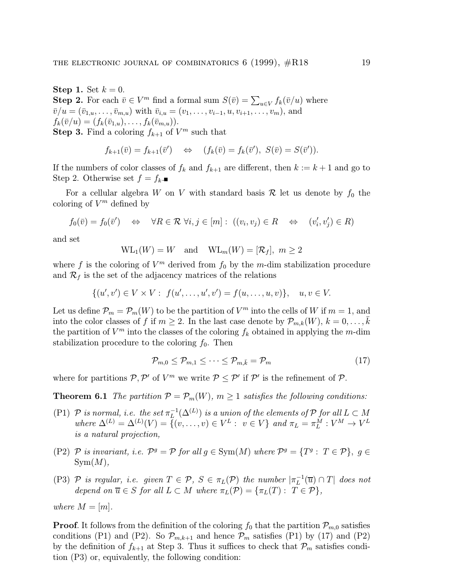Step 1. Set  $k = 0$ . **Step 2.** For each  $\bar{v} \in V^m$  find a formal sum  $S(\bar{v}) = \sum_{u \in V} f_k(\bar{v}/u)$  where  $\bar{v}/u = (\bar{v}_{1,u}, \ldots, \bar{v}_{m,u})$  with  $\bar{v}_{i,u} = (v_1, \ldots, v_{i-1}, u, v_{i+1}, \ldots, v_m)$ , and  $f_k(\bar{v}/u)=(f_k(\bar{v}_{1,u}),\ldots,f_k(\bar{v}_{m,u})).$ **Step 3.** Find a coloring  $f_{k+1}$  of  $V^m$  such that

$$
f_{k+1}(\overline{v}) = f_{k+1}(\overline{v}') \quad \Leftrightarrow \quad (f_k(\overline{v}) = f_k(\overline{v}'), S(\overline{v}) = S(\overline{v}')).
$$

If the numbers of color classes of  $f_k$  and  $f_{k+1}$  are different, then  $k := k+1$  and go to Step 2. Otherwise set  $f = f_k$ .

For a cellular algebra W on V with standard basis  $\mathcal R$  let us denote by  $f_0$  the coloring of  $V^m$  defined by

$$
f_0(\bar{v}) = f_0(\bar{v}') \quad \Leftrightarrow \quad \forall R \in \mathcal{R} \,\,\forall i, j \in [m]: \,\, ((v_i, v_j) \in R \quad \Leftrightarrow \quad (v_i', v_j') \in R)
$$

and set

$$
WL_1(W) = W
$$
 and  $WL_m(W) = [\mathcal{R}_f]$ ,  $m \ge 2$ 

where f is the coloring of  $V^m$  derived from  $f_0$  by the m-dim stabilization procedure and  $\mathcal{R}_f$  is the set of the adjacency matrices of the relations

$$
\{(u',v') \in V \times V : f(u',\ldots,u',v') = f(u,\ldots,u,v)\}, \quad u,v \in V.
$$

Let us define  $\mathcal{P}_m = \mathcal{P}_m(W)$  to be the partition of  $V^m$  into the cells of W if  $m = 1$ , and into the color classes of f if  $m \geq 2$ . In the last case denote by  $\mathcal{P}_{m,k}(W)$ ,  $k = 0, \ldots, \overline{k}$ the partition of  $V^m$  into the classes of the coloring  $f_k$  obtained in applying the m-dim stabilization procedure to the coloring  $f_0$ . Then

$$
\mathcal{P}_{m,0} \le \mathcal{P}_{m,1} \le \cdots \le \mathcal{P}_{m,\bar{k}} = \mathcal{P}_m \tag{17}
$$

where for partitions  $P, P'$  of  $V^m$  we write  $P \le P'$  if  $P'$  is the refinement of  $P$ .

**Theorem 6.1** The partition  $\mathcal{P} = \mathcal{P}_m(W)$ ,  $m \geq 1$  satisfies the following conditions:

- (P1) P is normal, i.e. the set  $\pi_L^{-1}(\Delta^{(L)})$  is a union of the elements of P for all  $L \subset M$ where  $\Delta^{(L)} = \Delta^{(L)}(V) = \{(v, \ldots, v) \in V^L : v \in V\}$  and  $\pi_L = \pi_L^M : V^M \to V^L$ is a natural projection,
- (P2) P is invariant, i.e.  $\mathcal{P}^g = \mathcal{P}$  for all  $g \in \text{Sym}(M)$  where  $\mathcal{P}^g = \{T^g : T \in \mathcal{P}\}, g \in$  $Sym(M),$
- (P3) P is regular, i.e. given  $T \in \mathcal{P}$ ,  $S \in \pi_L(\mathcal{P})$  the number  $|\pi_L^{-1}(\overline{u}) \cap T|$  does not depend on  $\overline{u} \in S$  for all  $L \subset M$  where  $\pi_L(\mathcal{P}) = {\pi_L(T) : T \in \mathcal{P}}$ ,

where  $M = [m]$ .

**Proof.** It follows from the definition of the coloring  $f_0$  that the partition  $\mathcal{P}_{m,0}$  satisfies conditions (P1) and (P2). So  $\mathcal{P}_{m,k+1}$  and hence  $\mathcal{P}_m$  satisfies (P1) by (17) and (P2) by the definition of  $f_{k+1}$  at Step 3. Thus it suffices to check that  $\mathcal{P}_m$  satisfies condition (P3) or, equivalently, the following condition: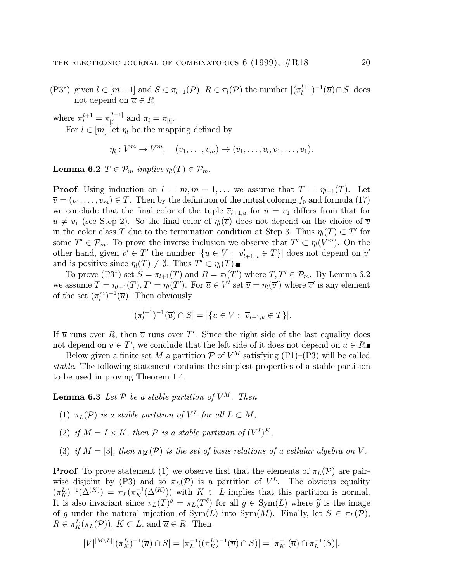(P3<sup>\*</sup>) given  $l \in [m-1]$  and  $S \in \pi_{l+1}(\mathcal{P})$ ,  $R \in \pi_l(\mathcal{P})$  the number  $|(\pi_l^{l+1})^{-1}(\overline{u}) \cap S|$  does not depend on  $\overline{u} \in R$ 

where  $\pi_l^{l+1} = \pi_{[l]}^{[l+1]}$  and  $\pi_l = \pi_{[l]}$ . For  $l \in [m]$  let  $\eta_l$  be the mapping defined by

$$
\eta_l: V^m \to V^m, \quad (v_1, \ldots, v_m) \mapsto (v_1, \ldots, v_l, v_1, \ldots, v_1).
$$

Lemma 6.2  $T \in \mathcal{P}_m$  implies  $\eta_l(T) \in \mathcal{P}_m$ .

**Proof.** Using induction on  $l = m, m - 1, \ldots$  we assume that  $T = \eta_{l+1}(T)$ . Let  $\overline{v} = (v_1,\ldots,v_m) \in T$ . Then by the definition of the initial coloring  $f_0$  and formula (17) we conclude that the final color of the tuple  $\overline{v}_{l+1,u}$  for  $u = v_1$  differs from that for  $u \neq v_1$  (see Step 2). So the final color of  $\eta_l(\overline{v})$  does not depend on the choice of  $\overline{v}$ in the color class T due to the termination condition at Step 3. Thus  $\eta_l(T) \subset T'$  for some  $T' \in \mathcal{P}_m$ . To prove the inverse inclusion we observe that  $T' \subset \eta_l(V^m)$ . On the other hand, given  $\overline{v}' \in T'$  the number  $|\{u \in V : \overline{v}'_{l+1,u} \in T\}|$  does not depend on  $\overline{v}'$ and is positive since  $\eta_l(T) \neq \emptyset$ . Thus  $T' \subset \eta_l(T)$ .

To prove (P3<sup>\*</sup>) set  $S = \pi_{l+1}(T)$  and  $R = \pi_l(T')$  where  $T, T' \in \mathcal{P}_m$ . By Lemma 6.2 we assume  $T = \eta_{l+1}(T), T' = \eta_l(T')$ . For  $\overline{u} \in V^l$  set  $\overline{v} = \eta_l(\overline{v}')$  where  $\overline{v}'$  is any element of the set  $(\pi_l^m)^{-1}(\overline{u})$ . Then obviously

$$
|(\pi_l^{l+1})^{-1}(\overline{u}) \cap S| = |\{u \in V : \overline{v}_{l+1,u} \in T\}|.
$$

If  $\overline{u}$  runs over R, then  $\overline{v}$  runs over T'. Since the right side of the last equality does not depend on  $\overline{v} \in T'$ , we conclude that the left side of it does not depend on  $\overline{u} \in R$ .

Below given a finite set M a partition  $P$  of  $V^M$  satisfying (P1)–(P3) will be called stable. The following statement contains the simplest properties of a stable partition to be used in proving Theorem 1.4.

**Lemma 6.3** Let  $P$  be a stable partition of  $V^M$ . Then

- (1)  $\pi_L(\mathcal{P})$  is a stable partition of  $V^L$  for all  $L \subset M$ ,
- (2) if  $M = I \times K$ , then  $P$  is a stable partition of  $(V^I)^K$ .
- (3) if  $M = [3]$ , then  $\pi_{[2]}(\mathcal{P})$  is the set of basis relations of a cellular algebra on V.

**Proof.** To prove statement (1) we observe first that the elements of  $\pi_L(\mathcal{P})$  are pairwise disjoint by (P3) and so  $\pi_L(\mathcal{P})$  is a partition of  $V^L$ . The obvious equality  $(\pi_K^L)^{-1}(\Delta^{(K)}) = \pi_L(\pi_K^{-1}(\Delta^{(K)}))$  with  $K \subset L$  implies that this partition is normal. It is also invariant since  $\pi_L(T)^g = \pi_L(T^{\tilde{g}})$  for all  $g \in \text{Sym}(L)$  where  $\tilde{g}$  is the image of g under the natural injection of  $Sym(L)$  into  $Sym(M)$ . Finally, let  $S \in \pi_L(\mathcal{P})$ ,  $R \in \pi_K^L(\pi_L(\mathcal{P}))$ ,  $K \subset L$ , and  $\overline{u} \in R$ . Then

$$
|V|^{|M\setminus L|} |(\pi_K^L)^{-1}(\overline{u}) \cap S| = |\pi_L^{-1}((\pi_K^L)^{-1}(\overline{u}) \cap S)| = |\pi_K^{-1}(\overline{u}) \cap \pi_L^{-1}(S)|.
$$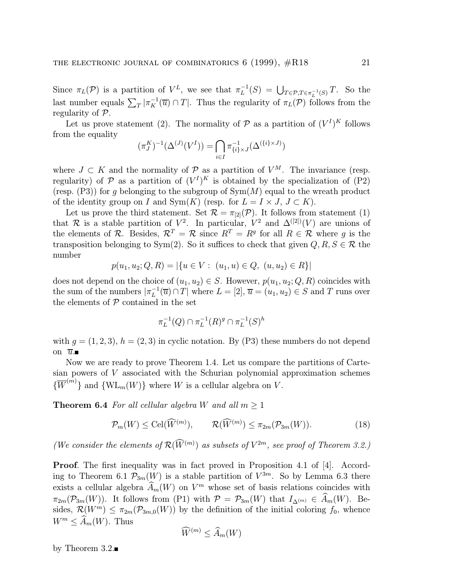Since  $\pi_L(\mathcal{P})$  is a partition of  $V^L$ , we see that  $\pi_L^{-1}(S) = \bigcup_{T \in \mathcal{P}, T \in \pi_L^{-1}(S)} T$ . So the last number equals  $\sum_{T} |\pi_K^{-1}(\overline{u}) \cap T|$ . Thus the regularity of  $\pi_L(\mathcal{P})$  follows from the regularity of P.

Let us prove statement (2). The normality of  $\mathcal{P}$  as a partition of  $(V^I)^K$  follows from the equality

$$
(\pi_J^K)^{-1}(\Delta^{(J)}(V^I)) = \bigcap_{i \in I} \pi_{\{i\} \times J}^{-1}(\Delta^{(\{i\} \times J)})
$$

where  $J \subset K$  and the normality of  $\mathcal{P}$  as a partition of  $V^M$ . The invariance (resp. regularity) of  $P$  as a partition of  $(V<sup>I</sup>)<sup>K</sup>$  is obtained by the specialization of  $(P2)$ (resp.  $(P3)$ ) for q belonging to the subgroup of  $Sym(M)$  equal to the wreath product of the identity group on I and Sym $(K)$  (resp. for  $L = I \times J$ ,  $J \subset K$ ).

Let us prove the third statement. Set  $\mathcal{R} = \pi_{2}(\mathcal{P})$ . It follows from statement (1) that R is a stable partition of  $V^2$ . In particular,  $V^2$  and  $\Delta^{([2])}(V)$  are unions of the elements of R. Besides,  $\mathcal{R}^T = \mathcal{R}$  since  $R^T = R^g$  for all  $R \in \mathcal{R}$  where q is the transposition belonging to Sym(2). So it suffices to check that given  $Q, R, S \in \mathcal{R}$  the number

$$
p(u_1, u_2; Q, R) = |\{u \in V : (u_1, u) \in Q, (u, u_2) \in R\}|\
$$

does not depend on the choice of  $(u_1, u_2) \in S$ . However,  $p(u_1, u_2; Q, R)$  coincides with the sum of the numbers  $|\pi_L^{-1}(\overline{u}) \cap T|$  where  $L = [2], \overline{u} = (u_1, u_2) \in S$  and T runs over the elements of  $P$  contained in the set

$$
\pi_L^{-1}(Q) \cap \pi_L^{-1}(R)^g \cap \pi_L^{-1}(S)^h
$$

with  $g = (1, 2, 3)$ ,  $h = (2, 3)$  in cyclic notation. By (P3) these numbers do not depend on  $\overline{u}$ .

Now we are ready to prove Theorem 1.4. Let us compare the partitions of Cartesian powers of V associated with the Schurian polynomial approximation schemes  $\{\overline{W}^{(m)}\}$  and  $\{\text{WL}_m(W)\}\$  where W is a cellular algebra on V.

**Theorem 6.4** For all cellular algebra W and all  $m \geq 1$ 

$$
\mathcal{P}_m(W) \le \text{Cell}(\widehat{W}^{(m)}), \qquad \mathcal{R}(\widehat{W}^{(m)}) \le \pi_{2m}(\mathcal{P}_{3m}(W)). \tag{18}
$$

(We consider the elements of  $\mathcal{R}(W^{(m)})$  as subsets of  $V^{2m}$ , see proof of Theorem 3.2.)

Proof. The first inequality was in fact proved in Proposition 4.1 of [4]. According to Theorem 6.1  $\mathcal{P}_{3m}(W)$  is a stable partition of  $V^{3m}$ . So by Lemma 6.3 there exists a cellular algebra  $\widehat{A}_m(W)$  on  $V^m$  whose set of basis relations coincides with  $\pi_{2m}(\mathcal{P}_{3m}(W))$ . It follows from (P1) with  $\mathcal{P} = \mathcal{P}_{3m}(W)$  that  $I_{\Delta^{(m)}} \in \hat{A}_m(W)$ . Besides,  $\mathcal{R}(W^m) \leq \pi_{2m}(\mathcal{P}_{3m,0}(W))$  by the definition of the initial coloring  $f_0$ , whence  $W^m \leq \widehat{A}_m(W)$ . Thus

$$
\widehat{W}^{(m)} \leq \widehat{A}_m(W)
$$

by Theorem 3.2.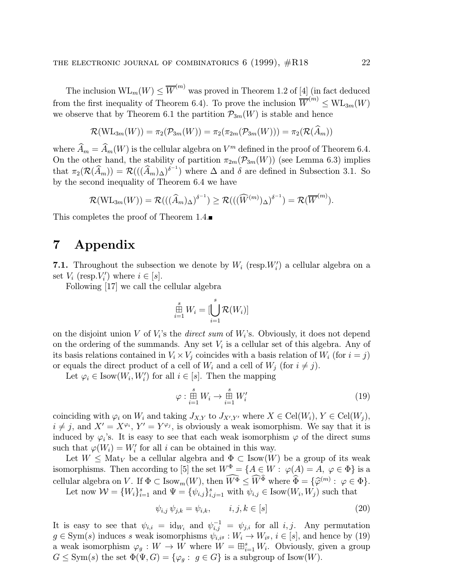The inclusion  $\text{WL}_m(W) \leq \overline{W}^{(m)}$  was proved in Theorem 1.2 of [4] (in fact deduced from the first inequality of Theorem 6.4). To prove the inclusion  $\overline{W}^{(m)} \leq \text{WL}_{3m}(W)$ we observe that by Theorem 6.1 the partition  $\mathcal{P}_{3m}(W)$  is stable and hence

$$
\mathcal{R}(\mathrm{WL}_{3m}(W)) = \pi_2(\mathcal{P}_{3m}(W)) = \pi_2(\pi_{2m}(\mathcal{P}_{3m}(W))) = \pi_2(\mathcal{R}(\widehat{A}_m))
$$

where  $\widehat{A}_m = \widehat{A}_m(W)$  is the cellular algebra on  $V^m$  defined in the proof of Theorem 6.4. On the other hand, the stability of partition  $\pi_{2m}(\mathcal{P}_{3m}(W))$  (see Lemma 6.3) implies that  $\pi_2(\mathcal{R}(\widehat{A}_m)) = \mathcal{R}(((\widehat{A}_m)_{\Delta})^{\delta^{-1}})$  where  $\Delta$  and  $\delta$  are defined in Subsection 3.1. So by the second inequality of Theorem 6.4 we have

$$
\mathcal{R}(\mathrm{WL}_{3m}(W)) = \mathcal{R}(((\widehat{A}_{m})_{\Delta})^{\delta^{-1}}) \ge \mathcal{R}(((\widehat{W}^{(m)})_{\Delta})^{\delta^{-1}}) = \mathcal{R}(\overline{W}^{(m)}).
$$

This completes the proof of Theorem 1.4.

## 7 Appendix

**7.1.** Throughout the subsection we denote by  $W_i$  (resp.  $W_i'$ ) a cellular algebra on a set  $V_i$  (resp. $V'_i$ ) where  $i \in [s]$ .

Following [17] we call the cellular algebra

$$
\mathop \boxplus \limits_{i=1}^s W_i = [\bigcup_{i=1}^s \mathcal{R}(W_i)]
$$

on the disjoint union V of  $V_i$ 's the *direct sum* of  $W_i$ 's. Obviously, it does not depend on the ordering of the summands. Any set  $V_i$  is a cellular set of this algebra. Any of its basis relations contained in  $V_i \times V_j$  coincides with a basis relation of  $W_i$  (for  $i = j$ ) or equals the direct product of a cell of  $W_i$  and a cell of  $W_j$  (for  $i \neq j$ ).

Let  $\varphi_i \in \text{Isow}(W_i, W_i')$  for all  $i \in [s]$ . Then the mapping

$$
\varphi : \stackrel{s}{\underset{i=1}{\boxplus}} W_i \to \stackrel{s}{\underset{i=1}{\boxplus}} W_i' \tag{19}
$$

coinciding with  $\varphi_i$  on  $W_i$  and taking  $J_{X,Y}$  to  $J_{X',Y'}$  where  $X \in \text{Cell}(W_i)$ ,  $Y \in \text{Cell}(W_j)$ ,  $i \neq j$ , and  $X' = X^{\varphi_i}$ ,  $Y' = Y^{\varphi_j}$ , is obviously a weak isomorphism. We say that it is induced by  $\varphi_i$ 's. It is easy to see that each weak isomorphism  $\varphi$  of the direct sums such that  $\varphi(W_i) = W'_i$  for all i can be obtained in this way.

Let  $W \leq \text{Mat}_V$  be a cellular algebra and  $\Phi \subset \text{Isow}(W)$  be a group of its weak isomorphisms. Then according to [5] the set  $W^{\Phi} = \{A \in W : \varphi(A) = A, \varphi \in \Phi\}$  is a cellular algebra on V. If  $\Phi \subset \text{Isow}_m(W)$ , then  $W^{\Phi} \leq \widetilde{W}^{\Phi}$  where  $\widetilde{\Phi} = {\widehat{\varphi}}^{(m)} : \varphi \in \Phi$ .

Let now  $\mathcal{W} = \{W_i\}_{i=1}^s$  and  $\Psi = \{\psi_{i,j}\}_{i,j=1}^s$  with  $\psi_{i,j} \in \text{Isow}(W_i, W_j)$  such that

$$
\psi_{i,j} \psi_{j,k} = \psi_{i,k}, \qquad i, j, k \in [s]
$$
\n
$$
(20)
$$

It is easy to see that  $\psi_{i,i} = id_{W_i}$  and  $\psi_{i,j}^{-1} = \psi_{j,i}$  for all i, j. Any permutation  $g \in \text{Sym}(s)$  induces s weak isomorphisms  $\psi_{i,i}^{\dagger} g : W_i \to W_{i} g, i \in [s]$ , and hence by (19) a weak isomorphism  $\varphi_g: W \to W$  where  $W = \boxplus_{i=1}^s W_i$ . Obviously, given a group  $G \le \text{Sym}(s)$  the set  $\Phi(\Psi, G) = {\varphi_q : g \in G}$  is a subgroup of Isow $(W)$ .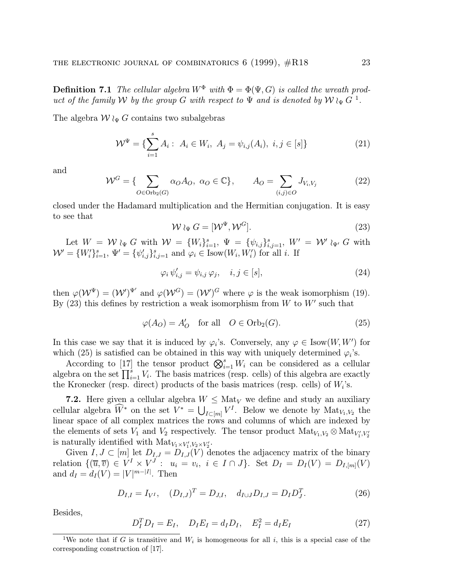**Definition 7.1** The cellular algebra  $W^{\Phi}$  with  $\Phi = \Phi(\Psi, G)$  is called the wreath product of the family W by the group G with respect to  $\Psi$  and is denoted by  $W \wr_{\Psi} G^{-1}$ .

The algebra  $W \wr_{\Psi} G$  contains two subalgebras

$$
\mathcal{W}^{\Psi} = \{ \sum_{i=1}^{s} A_i : A_i \in W_i, A_j = \psi_{i,j}(A_i), i, j \in [s] \}
$$
 (21)

and

$$
\mathcal{W}^G = \{ \sum_{O \in \text{Orb}_2(G)} \alpha_O A_O, \ \alpha_O \in \mathbb{C} \}, \qquad A_O = \sum_{(i,j) \in O} J_{V_i, V_j} \tag{22}
$$

closed under the Hadamard multiplication and the Hermitian conjugation. It is easy to see that

$$
\mathcal{W} \wr_{\Psi} G = [\mathcal{W}^{\Psi}, \mathcal{W}^G]. \tag{23}
$$

Let  $W = W_{\alpha} G$  with  $W = \{W_i\}_{i=1}^s$ ,  $\Psi = \{\psi_{i,j}\}_{i,j=1}^s$ ,  $W' = W'_{\alpha} G$  with  $\mathcal{W}' = \{W_i'\}_{i=1}^s$ ,  $\Psi' = \{\psi_{i,j}'\}_{i,j=1}^s$  and  $\varphi_i \in \text{Isow}(W_i, W_i')$  for all i. If

$$
\varphi_i \,\psi'_{i,j} = \psi_{i,j} \,\varphi_j, \quad i, j \in [s], \tag{24}
$$

then  $\varphi(\mathcal{W}^{\Psi})=(\mathcal{W}')^{\Psi'}$  and  $\varphi(\mathcal{W}^G)=(\mathcal{W}')^G$  where  $\varphi$  is the weak isomorphism (19). By  $(23)$  this defines by restriction a weak isomorphism from W to W' such that

$$
\varphi(A_O) = A'_O \quad \text{for all} \quad O \in \text{Orb}_2(G). \tag{25}
$$

In this case we say that it is induced by  $\varphi_i$ 's. Conversely, any  $\varphi \in \text{Isow}(W, W')$  for which (25) is satisfied can be obtained in this way with uniquely determined  $\varphi_i$ 's.

According to [17] the tensor product  $\bigotimes_{i=1}^s W_i$  can be considered as a cellular algebra on the set  $\prod_{i=1}^{s} V_i$ . The basis matrices (resp. cells) of this algebra are exactly the Kronecker (resp. direct) products of the basis matrices (resp. cells) of  $W_i$ 's.

7.2. Here given a cellular algebra  $W \leq \text{Mat}_V$  we define and study an auxiliary cellular algebra  $\widehat{W}^*$  on the set  $V^* = \bigcup_{I \subset [m]} V^I$ . Below we denote by  $\text{Mat}_{V_1, V_2}$  the linear space of all complex matrices the rows and columns of which are indexed by the elements of sets  $V_1$  and  $V_2$  respectively. The tensor product  ${\rm Mat}_{V_1, V_2} \otimes {\rm Mat}_{V_1', V_2'}$ is naturally identified with  $\text{Mat}_{V_1 \times V'_1, V_2 \times V'_2}$ .

Given  $I, J \subset [m]$  let  $D_{I,J} = D_{I,J}(V)$  denotes the adjacency matrix of the binary relation  $\{(\overline{u}, \overline{v}) \in V^I \times V^J : u_i = v_i, i \in I \cap J\}$ . Set  $D_I = D_I(V) = D_{I,[m]}(V)$ and  $d_I = d_I(V) = |V|^{m-|I|}$ . Then

$$
D_{I,I} = I_{V^I}, \quad (D_{I,J})^T = D_{J,I}, \quad d_{I \cup J} D_{I,J} = D_I D_J^T.
$$
\n(26)

Besides,

$$
D_I^T D_I = E_I, \quad D_I E_I = d_I D_I, \quad E_I^2 = d_I E_I \tag{27}
$$

<sup>&</sup>lt;sup>1</sup>We note that if G is transitive and  $W_i$  is homogeneous for all i, this is a special case of the corresponding construction of [17].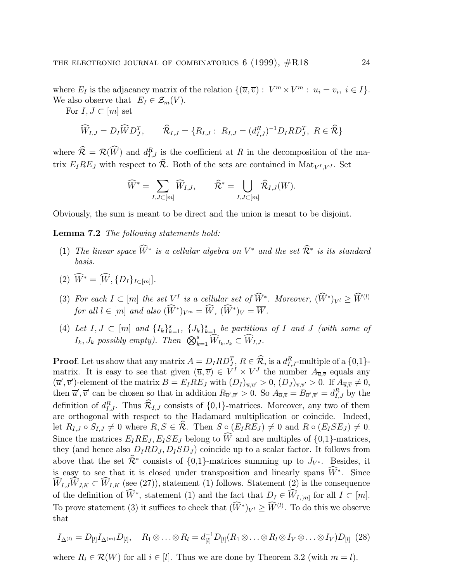where  $E_I$  is the adjacancy matrix of the relation  $\{(\overline{u}, \overline{v}) : V^m \times V^m : u_i = v_i, i \in I\}.$ We also observe that  $E_I \in \mathcal{Z}_m(V)$ .

For  $I, J \subset [m]$  set

$$
\widehat{W}_{I,J}=D_I\widehat{W}D_J^T, \qquad \widehat{\mathcal{R}}_{I,J}=\{R_{I,J}:\ R_{I,J}=(d_{I,J}^R)^{-1}D_I R D_J^T,\ R\in \widehat{\mathcal{R}}\}
$$

where  $\hat{\mathcal{R}} = \mathcal{R}(W)$  and  $d_{I,J}^R$  is the coefficient at R in the decomposition of the matrix  $E_I R E_J$  with respect to  $\widehat{\mathcal{R}}$ . Both of the sets are contained in Mat<sub>V</sub><sub>I</sub>  $_{V}$ , Set

$$
\widehat{W}^* = \sum_{I,J \subset [m]} \widehat{W}_{I,J}, \qquad \widehat{\mathcal{R}}^* = \bigcup_{I,J \subset [m]} \widehat{\mathcal{R}}_{I,J}(W).
$$

Obviously, the sum is meant to be direct and the union is meant to be disjoint.

Lemma 7.2 The following statements hold:

- (1) The linear space  $\tilde{W}^*$  is a cellular algebra on  $V^*$  and the set  $\tilde{\mathcal{R}}^*$  is its standard basis.
- (2)  $\hat{W}^* = [\hat{W}, \{D_I\}_{I \subset [m]}].$
- (3) For each  $I \subset [m]$  the set  $V^I$  is a cellular set of  $\overline{W}^*$ . Moreover,  $(\overline{W}^*)_{V^I} \ge \overline{W}^{(l)}$ for all  $l \in [m]$  and also  $(\tilde{W}^*)_{V^m} = \tilde{W}$ ,  $(\tilde{W}^*)_{V} = \overline{W}$ .
- (4) Let  $I, J \subset [m]$  and  $\{I_k\}_{k=1}^s$ ,  $\{J_k\}_{k=1}^s$  be partitions of I and J (with some of  $I_k, J_k$  possibly empty). Then  $\bigotimes_{k=1}^s \widehat{W}_{I_k,J_k} \subset \widehat{W}_{I,J}.$

**Proof.** Let us show that any matrix  $A = D_I R D_J^T$ ,  $R \in \hat{\mathcal{R}}$ , is a  $d_{I,J}^R$ -multiple of a  $\{0,1\}$ matrix. It is easy to see that given  $(\overline{u}, \overline{v}) \in V^I \times V^J$  the number  $A_{\overline{u}, \overline{v}}$  equals any  $(\overline{u}', \overline{v}')$ -element of the matrix  $B = E_I R E_J$  with  $(D_I)_{\overline{u}, \overline{u}'} > 0$ ,  $(D_J)_{\overline{v}, \overline{v}'} > 0$ . If  $A_{\overline{u}, \overline{v}} \neq 0$ , then  $\overline{u}', \overline{v}'$  can be chosen so that in addition  $R_{\overline{u}',\overline{v}'} > 0$ . So  $A_{\overline{u},\overline{v}} = B_{\overline{u}',\overline{v}'} = d_{I,J}^R$  by the definition of  $d_{I,J}^R$ . Thus  $\mathcal{R}_{I,J}$  consists of  $\{0,1\}$ -matrices. Moreover, any two of them are orthogonal with respect to the Hadamard multiplication or coincide. Indeed, let  $R_{I,J} \circ S_{I,J} \neq 0$  where  $R, S \in \widehat{\mathcal{R}}$ . Then  $S \circ (E_I R E_J) \neq 0$  and  $R \circ (E_I S E_J) \neq 0$ . Since the matrices  $E_I RE_J$ ,  $E_I SE_J$  belong to W and are multiples of  $\{0,1\}$ -matrices, they (and hence also  $D_I R D_J, D_I S D_J$ ) coincide up to a scalar factor. It follows from above that the set  $\hat{\mathcal{R}}^*$  consists of  $\{0,1\}$ -matrices summing up to  $J_{V^*}$ . Besides, it is easy to see that it is closed under transposition and linearly spans  $\widetilde{W}^*$ . Since  $W_{I,J}W_{J,K} \subset W_{I,K}$  (see (27)), statement (1) follows. Statement (2) is the consequence of the definition of  $\widehat{W}^*$ , statement (1) and the fact that  $D_I \in \widehat{W}_{I,[m]}$  for all  $I \subset [m]$ . To prove statement (3) it suffices to check that  $(\widetilde{W}^*)_{V^l} \ge \widetilde{W}^{(l)}$ . To do this we observe that

$$
I_{\Delta^{(l)}}=D_{[l]}I_{\Delta^{(m)}}D_{[l]},\quad R_1\otimes\ldots\otimes R_l=d_{[l]}^{-1}D_{[l]}(R_1\otimes\ldots\otimes R_l\otimes I_V\otimes\ldots\otimes I_V)D_{[l]} \tag{28}
$$

where  $R_i \in \mathcal{R}(W)$  for all  $i \in [l]$ . Thus we are done by Theorem 3.2 (with  $m = l$ ).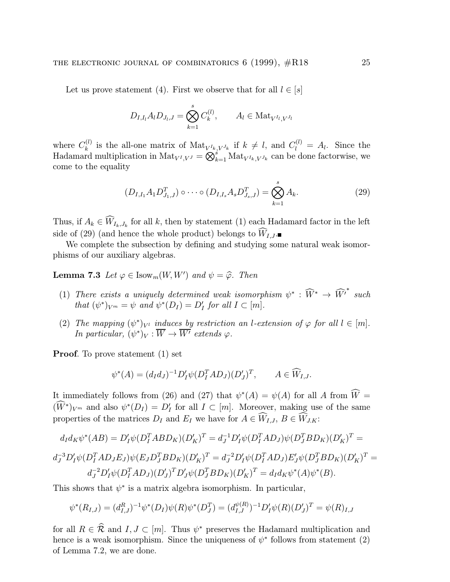Let us prove statement (4). First we observe that for all  $l \in [s]$ 

$$
D_{I,I_l} A_l D_{J_l,J} = \bigotimes_{k=1}^s C_k^{(l)}, \qquad A_l \in \text{Mat}_{V^{I_l}, V^{J_l}}
$$

where  $C_k^{(l)}$  is the all-one matrix of  $\text{Mat}_{V^{I_k}, V^{J_k}}$  if  $k \neq l$ , and  $C_l^{(l)} = A_l$ . Since the Hadamard multiplication in  $\text{Mat}_{V^I,V^J} = \bigotimes_{k=1}^s \text{Mat}_{V^I_{k},V^J_{k}}$  can be done factorwise, we come to the equality

$$
(D_{I,I_1}A_1D_{J_1,J}^T)\circ\cdots\circ(D_{I,I_s}A_sD_{J_s,J}^T)=\bigotimes_{k=1}^sA_k.
$$
 (29)

Thus, if  $A_k \in W_{I_k,J_k}$  for all k, then by statement (1) each Hadamard factor in the left side of (29) (and hence the whole product) belongs to  $W_{I,J}$ .

We complete the subsection by defining and studying some natural weak isomorphisms of our auxiliary algebras.

**Lemma 7.3** Let  $\varphi \in \text{Isow}_m(W, W')$  and  $\psi = \widehat{\varphi}$ . Then

- (1) There exists a uniquely determined weak isomorphism  $\psi^* : \widehat{W}^* \to \widehat{W'}^*$  such that  $(\psi^*)_{V^m} = \psi$  and  $\psi^*(D_I) = D'_I$  for all  $I \subset [m]$ .
- (2) The mapping  $(\psi^*)_{V^l}$  induces by restriction an l-extension of  $\varphi$  for all  $l \in [m]$ . In particular,  $(\psi^*)_V : \overline{W} \to \overline{W'}$  extends  $\varphi$ .

Proof. To prove statement (1) set

$$
\psi^*(A) = (d_I d_J)^{-1} D_I' \psi (D_I^T A D_J) (D_J')^T, \qquad A \in \widehat{W}_{I,J}.
$$

It immediately follows from (26) and (27) that  $\psi^*(A) = \psi(A)$  for all A from  $\overline{W} =$  $(W^*)_{V^m}$  and also  $\psi^*(D_I) = D'_I$  for all  $I \subset [m]$ . Moreover, making use of the same properties of the matrices  $D_I$  and  $E_I$  we have for  $A \in W_{I,J}, B \in W_{J,K}$ :

$$
d_I d_K \psi^*(AB) = D'_I \psi (D_I^T A B D_K) (D'_K)^T = d_J^{-1} D'_I \psi (D_I^T A D_J) \psi (D_J^T B D_K) (D'_K)^T = d_J^{-3} D'_I \psi (D_I^T A D_J E_J) \psi (E_J D_J^T B D_K) (D'_K)^T = d_J^{-2} D'_I \psi (D_I^T A D_J) E'_J \psi (D_J^T B D_K) (D'_K)^T = d_I^{-2} D'_I \psi (D_J^T A D_J) E'_J \psi (D_J^T B D_K) (D'_K)^T = d_I^{-2} D'_I \psi (D_J^T A D_J) E'_J \psi (D'_J B D_K) (D'_K)^T = d_I^{-2} D'_I \psi (D_J^T A D_J) E'_J \psi (D'_J B D_K) (D'_K)^T = d_I^{-2} D'_I \psi (D_J^T A D_J) E'_J \psi (D'_J B D_K) (D'_K)^T = d_I^{-2} D'_I \psi (D_J^T A D_J) E'_J \psi (D'_J B D_K) (D'_K)^T = d_I^{-2} D'_I \psi (D_J^T A D_J) E'_J \psi (D'_J B D_K) (D'_K)^T = d_I^{-2} D'_I \psi (D_J^T A D_J) E'_J \psi (D'_J B D_K) (D'_K)^T = d_I^{-2} D'_I \psi (D_J^T A D_J) E'_J \psi (D'_J B D_K) (D'_K)^T = d_I^{-2} D'_I \psi (D_J^T A D_J) E'_J \psi (D'_J B D_K) (D'_K)^T = d_I^{-2} D'_I \psi (D'_J B D_K) (D'_K)^T = d_I^{-2} D'_I \psi (D'_J B D_K) (D'_K)^T = d_I^{-2} D'_I \psi (D'_J B D_K) (D'_K)^T = d_I^{-2} D'_I \psi (D'_J B D_K) (D'_K)^T = d_I^{-2} D'_I \psi (D'_J B D_K) (D'_K)^T = d_I^{-2} D'_I \psi (D'_J B D_K) (D'_K)^T = d_I^{-2} D'_I \psi (D'_J B D_K) (D'_K)^T = d_I^{-2} D'_I \psi (D'_J B D_K) (D'_K)^T = d_I^{-2} D'_I \psi (D'_J B D_K) (D'_K)^T = d_I^{-2} D'_I \psi (D'_J B D_K) (D'_K)^T = d_I^{-2} D
$$

$$
d_J^{-2} D_I' \psi (D_I^T A D_J) (D_J')^T D_J' \psi (D_J^T B D_K) (D_K')^T = d_I d_K \psi^*(A) \psi^*(B).
$$

This shows that  $\psi^*$  is a matrix algebra isomorphism. In particular,

$$
\psi^*(R_{I,J}) = (d_{I,J}^R)^{-1} \psi^*(D_I) \psi(R) \psi^*(D_J^T) = (d_{I,J}^{\psi(R)})^{-1} D_I' \psi(R) (D_J')^T = \psi(R)_{I,J}
$$

for all  $R \in \hat{\mathcal{R}}$  and  $I, J \subset [m]$ . Thus  $\psi^*$  preserves the Hadamard multiplication and hence is a weak isomorphism. Since the uniqueness of  $\psi^*$  follows from statement (2) of Lemma 7.2, we are done.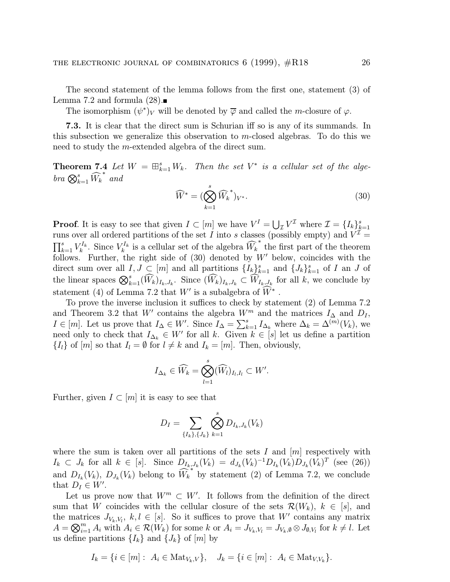The second statement of the lemma follows from the first one, statement (3) of Lemma 7.2 and formula  $(28)$ .

The isomorphism  $(\psi^*)_V$  will be denoted by  $\overline{\varphi}$  and called the m-closure of  $\varphi$ .

7.3. It is clear that the direct sum is Schurian iff so is any of its summands. In this subsection we generalize this observation to m-closed algebras. To do this we need to study the m-extended algebra of the direct sum.

**Theorem 7.4** Let  $W = \boxplus_{k=1}^{s} W_k$ . Then the set  $V^*$  is a cellular set of the alge $bra \otimes_{k=1}^s \widehat{W}_k$ ∗ and

$$
\widehat{W}^* = \left(\bigotimes_{k=1}^s \widehat{W}_k^*\right)_{V^*}.\tag{30}
$$

**Proof.** It is easy to see that given  $I \subset [m]$  we have  $V^I = \bigcup_{\mathcal{I}} V^{\mathcal{I}}$  where  $\mathcal{I} = \{I_k\}_{k=1}^s$ runs over all ordered partitions of the set I into s classes (possibly empty) and  $V^{\mathcal{I}} =$  $\prod_{k=1}^s V_k^{I_k}$ . Since  $V_k^{I_k}$  is a cellular set of the algebra  $\widehat{W}_k$ ∗ the first part of the theorem follows. Further, the right side of  $(30)$  denoted by  $W'$  below, coincides with the direct sum over all  $I, J \subset [m]$  and all partitions  $\{I_k\}_{k=1}^s$  and  $\{J_k\}_{k=1}^s$  of I an J of the linear spaces  $\bigotimes_{k=1}^s (\widehat{W}_k)_{I_k,J_k}$ . Since  $(\widehat{W}_k)_{I_k,J_k} \subset \widehat{W}_{I_k,J_k}$  for all k, we conclude by statement (4) of Lemma 7.2 that  $W'$  is a subalgebra of  $\widetilde{W}^*$ .

To prove the inverse inclusion it suffices to check by statement (2) of Lemma 7.2 and Theorem 3.2 that W' contains the algebra  $W^m$  and the matrices  $I_\Delta$  and  $D_I$ ,  $I \in [m]$ . Let us prove that  $I_{\Delta} \in W'$ . Since  $I_{\Delta} = \sum_{k=1}^{s} I_{\Delta_k}$  where  $\Delta_k = \Delta^{(m)}(V_k)$ , we need only to check that  $I_{\Delta_k} \in W'$  for all k. Given  $k \in [s]$  let us define a partition  $\{I_l\}$  of  $[m]$  so that  $I_l = \emptyset$  for  $l \neq k$  and  $I_k = [m]$ . Then, obviously,

$$
I_{\Delta_k} \in \widehat{W}_k = \bigotimes_{l=1}^s (\widehat{W}_l)_{I_l, I_l} \subset W'.
$$

Further, given  $I \subset [m]$  it is easy to see that

$$
D_I = \sum_{\{I_k\},\{J_k\}} \bigotimes_{k=1}^s D_{I_k,J_k}(V_k)
$$

where the sum is taken over all partitions of the sets I and  $[m]$  respectively with  $I_k$  ⊂  $J_k$  for all  $k \in [s]$ . Since  $D_{I_k,J_k}(V_k) = d_{J_k}(V_k)^{-1}D_{I_k}(V_k)D_{J_k}(V_k)^T$  (see (26)) and  $D_{I_k}(V_k)$ ,  $D_{J_k}(V_k)$  belong to  $W_k$  $*$  by statement (2) of Lemma 7.2, we conclude that  $D_I \in W'.$ 

Let us prove now that  $W^m \subset W'$ . It follows from the definition of the direct sum that W coincides with the cellular closure of the sets  $\mathcal{R}(W_k)$ ,  $k \in [s]$ , and the matrices  $J_{V_k,V_l}, k,l \in [s]$ . So it suffices to prove that W' contains any matrix  $A = \bigotimes_{i=1}^{m} A_i$  with  $A_i \in \mathcal{R}(W_k)$  for some k or  $A_i = J_{V_k, V_l} = J_{V_k, \emptyset} \otimes J_{\emptyset, V_l}$  for  $k \neq l$ . Let us define partitions  $\{I_k\}$  and  $\{J_k\}$  of  $[m]$  by

$$
I_k = \{i \in [m]: A_i \in Mat_{V_k, V}\}, \quad J_k = \{i \in [m]: A_i \in Mat_{V, V_k}\}.
$$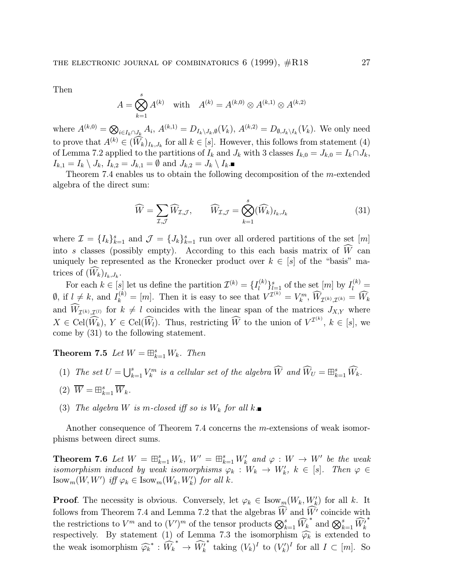Then

$$
A = \bigotimes_{k=1}^{s} A^{(k)} \quad \text{with} \quad A^{(k)} = A^{(k,0)} \otimes A^{(k,1)} \otimes A^{(k,2)}
$$

where  $A^{(k,0)} = \bigotimes_{i \in I_k \cap J_k} A_i$ ,  $A^{(k,1)} = D_{I_k \setminus J_k, \emptyset}(V_k)$ ,  $A^{(k,2)} = D_{\emptyset, J_k \setminus I_k}(V_k)$ . We only need to prove that  $A^{(k)} \in (W_k)_{I_k,J_k}$  for all  $k \in [s]$ . However, this follows from statement (4) of Lemma 7.2 applied to the partitions of  $I_k$  and  $J_k$  with 3 classes  $I_{k,0} = J_{k,0} = I_k \cap J_k$ ,  $I_{k,1} = I_k \setminus J_k$ ,  $I_{k,2} = J_{k,1} = \emptyset$  and  $J_{k,2} = J_k \setminus I_k$ .

Theorem 7.4 enables us to obtain the following decomposition of the m-extended algebra of the direct sum:

$$
\widehat{W} = \sum_{\mathcal{I}, \mathcal{J}} \widehat{W}_{\mathcal{I}, \mathcal{J}}, \qquad \widehat{W}_{\mathcal{I}, \mathcal{J}} = \bigotimes_{k=1}^{s} (\widehat{W}_{k})_{I_{k}, J_{k}}
$$
(31)

where  $\mathcal{I} = \{I_k\}_{k=1}^s$  and  $\mathcal{J} = \{J_k\}_{k=1}^s$  run over all ordered partitions of the set  $[m]$ into s classes (possibly empty). According to this each basis matrix of  $W$  can uniquely be represented as the Kronecker product over  $k \in [s]$  of the "basis" matrices of  $(W_k)_{I_k,J_k}$ .

For each  $k \in [s]$  let us define the partition  $\mathcal{I}^{(k)} = \{I_l^{(k)}\}_{l=1}^s$  of the set  $[m]$  by  $I_l^{(k)}$  $\emptyset$ , if  $l \neq k$ , and  $I_k^{(k)} = [m]$ . Then it is easy to see that  $V^{T^{(k)}} = V_k^m$ ,  $\widehat{W}_{T^{(k)},T^{(k)}} = \widehat{W}_k$ and  $W_{\mathcal{I}^{(k)},\mathcal{I}^{(l)}}$  for  $k \neq l$  coincides with the linear span of the matrices  $J_{X,Y}$  where  $X \in \text{Cell}(\widehat{W}_k), Y \in \text{Cell}(\widehat{W}_l)$ . Thus, restricting  $\widehat{W}$  to the union of  $V^{I^{(k)}}, k \in [s]$ , we come by (31) to the following statement.

**Theorem 7.5** Let  $W = \boxplus_{k=1}^{s} W_k$ . Then

- (1) The set  $U = \bigcup_{k=1}^{s} V_k^m$  is a cellular set of the algebra  $\widehat{W}$  and  $\widehat{W}_U = \boxplus_{k=1}^{s} \widehat{W}_k$ .
- (2)  $\overline{W} = \boxplus_{k=1}^{s} \overline{W}_{k}.$
- (3) The algebra W is m-closed iff so is  $W_k$  for all  $k$ .

Another consequence of Theorem 7.4 concerns the m-extensions of weak isomorphisms between direct sums.

**Theorem 7.6** Let  $W = \boxplus_{k=1}^s W_k$ ,  $W' = \boxplus_{k=1}^s W'_k$  and  $\varphi : W \to W'$  be the weak isomorphism induced by weak isomorphisms  $\varphi_k : W_k \to W'_k$ ,  $k \in [s]$ . Then  $\varphi \in$  $\text{Isow}_m(W, W')$  iff  $\varphi_k \in \text{Isow}_m(W_k, W'_k)$  for all k.

**Proof.** The necessity is obvious. Conversely, let  $\varphi_k \in \text{Isow}_m(W_k, W'_k)$  for all k. It follows from Theorem 7.4 and Lemma 7.2 that the algebras  $W$  and  $W'$  coincide with the restrictions to  $V^m$  and to  $(V')^m$  of the tensor products  $\bigotimes_{k=1}^s \widehat{W}_k$ \* and  $\bigotimes_{k=1}^s \widehat{W'_k}$ ∗ respectively. By statement (1) of Lemma 7.3 the isomorphism  $\widehat{\varphi_k}$  is extended to the weak isomorphism  $\widehat{\varphi_k}^* : \widehat{W}_k$ \*  $\rightarrow \widehat{W}'_k$ \* taking  $(V_k)^I$  to  $(V'_k)^I$  for all  $I \subset [m]$ . So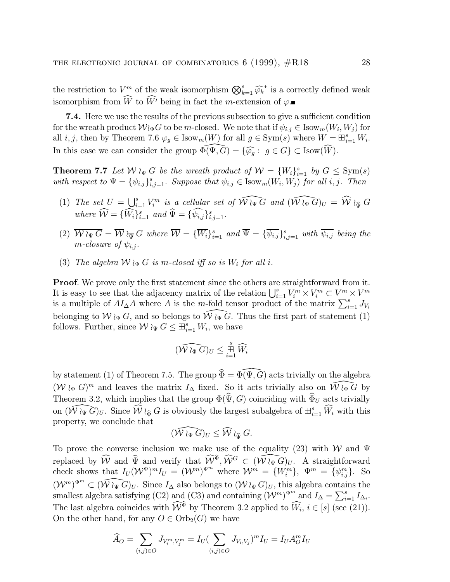the restriction to  $V^m$  of the weak isomorphism  $\bigotimes_{k=1}^s \widehat{\varphi_k}^*$  is a correctly defined weak isomorphism from W to W' being in fact the m-extension of  $\varphi$ .

7.4. Here we use the results of the previous subsection to give a sufficient condition for the wreath product  $\mathcal{W}_{\Psi}G$  to be m-closed. We note that if  $\psi_{i,j} \in \text{Isow}_m(W_i, W_j)$  for all *i*, *j*, then by Theorem 7.6  $\varphi_g \in \text{Isow}_m(W)$  for all  $g \in \text{Sym}(s)$  where  $W = \boxplus_{i=1}^s W_i$ . In this case we can consider the group  $\Phi(\Psi, G) = {\varphi_g : g \in G} \subset \text{Isow}(W)$ .

**Theorem 7.7** Let  $W \nvert_{\Psi} G$  be the wreath product of  $W = \{W_i\}_{i=1}^s$  by  $G \le \text{Sym}(s)$ with respect to  $\Psi = {\psi_{i,j}}_{i,j=1}^s$ . Suppose that  $\psi_{i,j} \in \text{Isow}_m(W_i, W_j)$  for all i, j. Then

- (1) The set  $U = \bigcup_{i=1}^s V_i^m$  is a cellular set of  $\widehat{W \wr_{\Psi} G}$  and  $(\widehat{W \wr_{\Psi} G})_U = \widehat{W} \wr_{\widehat{\Psi}} G$ where  $\hat{\mathcal{W}} = {\hat{W}_i}_{i=1}^s$  and  $\hat{\Psi} = {\hat{\psi}_{i,j}}_{i,j=1}^s$ .
- (2)  $\overline{\mathcal{W}}\wr_{\Psi} G = \overline{\mathcal{W}}\wr_{\overline{\Psi}} G$  where  $\overline{\mathcal{W}} = {\{\overline{W}_i\}}_{i=1}^s$  and  $\overline{\Psi} = {\{\overline{\psi_{i,j}}\}}_{i,j=1}^s$  with  $\overline{\psi_{i,j}}$  being the m-closure of  $\psi_i$ .
- (3) The algebra  $W \wr_{\Psi} G$  is m-closed iff so is  $W_i$  for all i.

**Proof.** We prove only the first statement since the others are straightforward from it. It is easy to see that the adjacency matrix of the relation  $\bigcup_{i=1}^s V_i^m \times V_i^m \subset V^m \times V^m$ is a multiple of  $AI_{\Delta}A$  where A is the m-fold tensor product of the matrix  $\sum_{i=1}^{s} J_{V_i}$ belonging to  $W \wr_{\Psi} G$ , and so belongs to  $W \wr_{\Psi} G$ . Thus the first part of statement (1) follows. Further, since  $W \wr_{\Psi} G \leq \boxplus_{i=1}^{s} W_i$ , we have

$$
(\widehat{\mathcal{W}\wr_\Phi G})_U\leq \textstyle\mathop{\boxplus}\limits_{i=1}^s \widehat{W_i}
$$

by statement (1) of Theorem 7.5. The group  $\widehat{\Phi} = \widehat{\Phi}(\Psi, \widehat{G})$  acts trivially on the algebra  $(W \wr_{\Psi} G)^m$  and leaves the matrix  $I_{\Delta}$  fixed. So it acts trivially also on  $\hat{W} \wr_{\Psi} \hat{G}$  by Theorem 3.2, which implies that the group  $\Phi(\widehat{\Psi}, G)$  coinciding with  $\widehat{\Phi}_U$  acts trivially on  $(\widehat{W}\wr_{\Psi}\widehat{G})_U$ . Since  $\widehat{W}\wr_{\widehat{\Psi}}G$  is obviously the largest subalgebra of  $\boxplus_{i=1}^s \widehat{W}_i$  with this property, we conclude that

$$
(\widehat{{\mathcal W}}\wr_\Psi \widehat{G})_U \leq \widehat{{\mathcal W}}\wr_{\widehat{\Psi}} G.
$$

To prove the converse inclusion we make use of the equality (23) with W and  $\Psi$ replaced by  $\widehat{W}$  and  $\Psi$  and verify that  $\widehat{W}^{\Psi}, \widehat{W}^G \subset (\widehat{W}\wr_{\Psi}\widehat{G})_U$ . A straightforward check shows that  $I_U(\mathcal{W}^{\Psi})^m I_U = (\mathcal{W}^m)^{\Psi^m}$  where  $\mathcal{W}^m = \{W_i^m\}, \Psi^m = \{\psi_{i,j}^m\}.$  So  $({\mathcal W}^m)^{\Psi^m} \subset (\widehat{{\mathcal W}}\wr_{\Psi}G)_U$ . Since  $I_{\Delta}$  also belongs to  $({\mathcal W}\wr_{\Psi}G)_U$ , this algebra contains the smallest algebra satisfying (C2) and (C3) and containing  $(W^m)^{\Psi^m}$  and  $I_\Delta = \sum_{i=1}^s I_{\Delta_i}$ . The last algebra coincides with  $\hat{W}^{\Psi}$  by Theorem 3.2 applied to  $\hat{W}_i$ ,  $i \in [s]$  (see (21)). On the other hand, for any  $O \in \mathrm{Orb}_2(G)$  we have

$$
\widehat{A}_O = \sum_{(i,j)\in O} J_{V_i^m, V_j^m} = I_U (\sum_{(i,j)\in O} J_{V_i, V_j})^m I_U = I_U A_O^m I_U
$$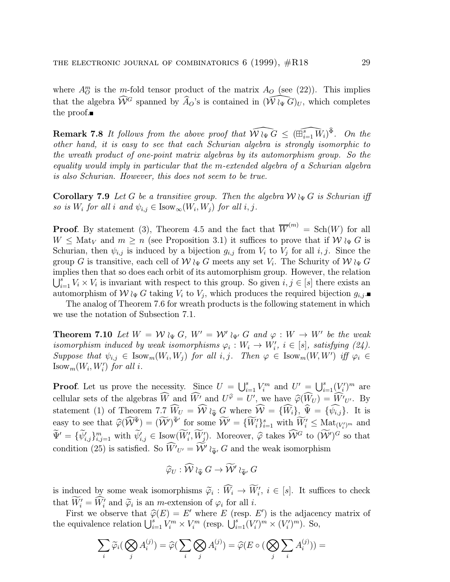where  $A_{\mathcal{O}}^{m}$  is the *m*-fold tensor product of the matrix  $A_{\mathcal{O}}$  (see (22)). This implies that the algebra  $\widehat{W}^G$  spanned by  $\widehat{A}_O$ 's is contained in  $(\widehat{W}\wr_{\Psi}\widehat{G})_U$ , which completes the proof.

**Remark 7.8** It follows from the above proof that  $\widehat{W} \wr_{\Psi} \widehat{G} \leq (\widehat{\mathbb{H}^s_{i=1} \ W_i})^{\Phi}$ . On the other hand, it is easy to see that each Schurian algebra is strongly isomorphic to the wreath product of one-point matrix algebras by its automorphism group. So the equality would imply in particular that the m-extended algebra of a Schurian algebra is also Schurian. However, this does not seem to be true.

**Corollary 7.9** Let G be a transitive group. Then the algebra  $W \n\downarrow_{\Psi} G$  is Schurian iff so is  $W_i$  for all i and  $\psi_{i,j} \in \text{Isow}_{\infty}(W_i, W_j)$  for all i, j.

**Proof.** By statement (3), Theorem 4.5 and the fact that  $\overline{W}^{(m)} = Sch(W)$  for all  $W \leq \text{Mat}_V$  and  $m \geq n$  (see Proposition 3.1) it suffices to prove that if  $W \wr_{\Psi} G$  is Schurian, then  $\psi_{i,j}$  is induced by a bijection  $g_{i,j}$  from  $V_i$  to  $V_j$  for all  $i, j$ . Since the group G is transitive, each cell of  $W \wr_{\Psi} G$  meets any set  $V_i$ . The Schurity of  $W \wr_{\Psi} G$ implies then that so does each orbit of its automorphism group. However, the relation  $\bigcup_{i=1}^s V_i \times V_i$  is invariant with respect to this group. So given  $i, j \in [s]$  there exists an automorphism of  $W \wr_{\Psi} G$  taking  $V_i$  to  $V_j$ , which produces the required bijection  $g_{i,j}$ .

The analog of Theorem 7.6 for wreath products is the following statement in which we use the notation of Subsection 7.1.

**Theorem 7.10** Let  $W = W \wr_{\Psi} G$ ,  $W' = W' \wr_{\Psi'} G$  and  $\varphi : W \to W'$  be the weak isomorphism induced by weak isomorphisms  $\varphi_i : W_i \to W'_i$ ,  $i \in [s]$ , satisfying (24). Suppose that  $\psi_{i,j} \in \text{Isow}_m(W_i, W_j)$  for all  $i, j$ . Then  $\varphi \in \text{Isow}_m(W, W')$  iff  $\varphi_i \in$  $\text{Isow}_m(W_i, W'_i)$  for all i.

**Proof.** Let us prove the necessity. Since  $U = \bigcup_{i=1}^{s} V_i^m$  and  $U' = \bigcup_{i=1}^{s} (V_i')^m$  are cellular sets of the algebras  $\widehat{W}$  and  $\widehat{W'}$  and  $U^{\widehat{\varphi}} = U'$ , we have  $\widehat{\varphi}(\widehat{W}_U) = \widehat{W'}_{U'}$ . By statement (1) of Theorem 7.7  $W_U = \mathcal{W} \wr_{\widehat{\Psi}} G$  where  $\mathcal{W} = \{W_i\}$ ,  $\Psi = \{\psi_{i,j}\}\$ . It is easy to see that  $\widehat{\varphi}(\widehat{W}^{\widehat{\Psi}}) = (\widehat{W}')^{\widetilde{\Psi}'}$  for some  $\widehat{W}' = {\{\widetilde{W}'_i\}_{i=1}^s}$  with  $\widetilde{W}'_i \leq \text{Mat}_{(V'_i)^m}$  and  $\widetilde{\Psi}' = {\{\psi'_{i,j}\}}_{i,j=1}^m$  with  $\psi'_{i,j} \in \text{Isow}(\widetilde{W}'_i, \widetilde{W}'_j)$ . Moreover,  $\widehat{\varphi}$  takes  $\widehat{\mathcal{W}}^G$  to  $(\widetilde{\mathcal{W}}')^G$  so that condition (25) is satisfied. So  $\hat{W'}_{U'} = \mathcal{W'} \wr_{\tilde{\Psi}'} G$  and the weak isomorphism

$$
\widehat{\varphi}_U : \widehat{\mathcal{W}} \wr_{\widehat{\Psi}} G \to \widetilde{\mathcal{W}}' \wr_{\widetilde{\Psi}'} G
$$

is induced by some weak isomorphisms  $\widetilde{\varphi}_i : \widetilde{W}_i \to \widetilde{W}'_i, i \in [s]$ . It suffices to check that  $W_i' = W_i'$  and  $\tilde{\varphi}_i$  is an *m*-extension of  $\varphi_i$  for all *i*.

First we observe that  $\hat{\varphi}(E) = E'$  where E (resp. E') is the adjacency matrix of the equivalence relation  $\bigcup_{i=1}^s V_i^m \times V_i^m$  (resp.  $\bigcup_{i=1}^s (V_i')^m \times (V_i')^m$ ). So,

$$
\sum_i \widetilde{\varphi}_i \left( \bigotimes_j A_i^{(j)} \right) = \widehat{\varphi} \left( \sum_i \bigotimes_j A_i^{(j)} \right) = \widehat{\varphi} \left( E \circ \left( \bigotimes_j \sum_i A_i^{(j)} \right) \right) =
$$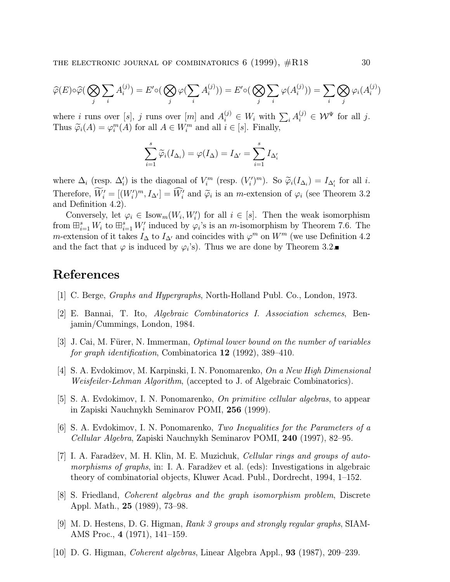$$
\widehat{\varphi}(E) \circ \widehat{\varphi}(\bigotimes_j \sum_i A_i^{(j)}) = E' \circ (\bigotimes_j \varphi(\sum_i A_i^{(j)})) = E' \circ (\bigotimes_j \sum_i \varphi(A_i^{(j)})) = \sum_i \bigotimes_j \varphi_i(A_i^{(j)})
$$

where i runs over [s], j runs over [m] and  $A_i^{(j)} \in W_i$  with  $\sum_i A_i^{(j)} \in \mathcal{W}^{\Psi}$  for all j. Thus  $\widetilde{\varphi}_i(A) = \varphi_i^m(A)$  for all  $A \in W_i^m$  and all  $i \in [s]$ . Finally,

$$
\sum_{i=1}^{s} \widetilde{\varphi}_i(I_{\Delta_i}) = \varphi(I_{\Delta}) = I_{\Delta'} = \sum_{i=1}^{s} I_{\Delta'_i}
$$

where  $\Delta_i$  (resp.  $\Delta'_i$ ) is the diagonal of  $V_i^m$  (resp.  $(V_i')^m$ ). So  $\widetilde{\varphi}_i(I_{\Delta_i}) = I_{\Delta'_i}$  for all *i*. Therefore,  $W_i' = [(W_i')^m, I_{\Delta'}] = W_i'$  and  $\tilde{\varphi}_i$  is an *m*-extension of  $\varphi_i$  (see Theorem 3.2) and Definition 4.2).

Conversely, let  $\varphi_i \in \text{Isow}_m(W_i, W'_i)$  for all  $i \in [s]$ . Then the weak isomorphism from  $\boxplus_{i=1}^{s} W_i$  to  $\boxplus_{i=1}^{s} W_i'$  induced by  $\varphi_i$ 's is an m-isomorphism by Theorem 7.6. The m-extension of it takes  $I_{\Delta}$  to  $I_{\Delta'}$  and coincides with  $\varphi^m$  on  $W^m$  (we use Definition 4.2 and the fact that  $\varphi$  is induced by  $\varphi_i$ 's). Thus we are done by Theorem 3.2.

#### References

- [1] C. Berge, Graphs and Hypergraphs, North-Holland Publ. Co., London, 1973.
- [2] E. Bannai, T. Ito, Algebraic Combinatorics I. Association schemes, Benjamin/Cummings, London, 1984.
- [3] J. Cai, M. Fürer, N. Immerman, *Optimal lower bound on the number of variables* for graph identification, Combinatorica 12 (1992), 389–410.
- [4] S. A. Evdokimov, M. Karpinski, I. N. Ponomarenko, On a New High Dimensional Weisfeiler-Lehman Algorithm, (accepted to J. of Algebraic Combinatorics).
- [5] S. A. Evdokimov, I. N. Ponomarenko, On primitive cellular algebras, to appear in Zapiski Nauchnykh Seminarov POMI, 256 (1999).
- [6] S. A. Evdokimov, I. N. Ponomarenko, Two Inequalities for the Parameters of a Cellular Algebra, Zapiski Nauchnykh Seminarov POMI, 240 (1997), 82–95.
- [7] I. A. Faradžev, M. H. Klin, M. E. Muzichuk, Cellular rings and groups of automorphisms of graphs, in: I. A. Faradžev et al. (eds): Investigations in algebraic theory of combinatorial objects, Kluwer Acad. Publ., Dordrecht, 1994, 1–152.
- [8] S. Friedland, Coherent algebras and the graph isomorphism problem, Discrete Appl. Math., 25 (1989), 73–98.
- [9] M. D. Hestens, D. G. Higman, Rank 3 groups and strongly regular graphs, SIAM-AMS Proc., 4 (1971), 141–159.
- [10] D. G. Higman, Coherent algebras, Linear Algebra Appl., 93 (1987), 209–239.